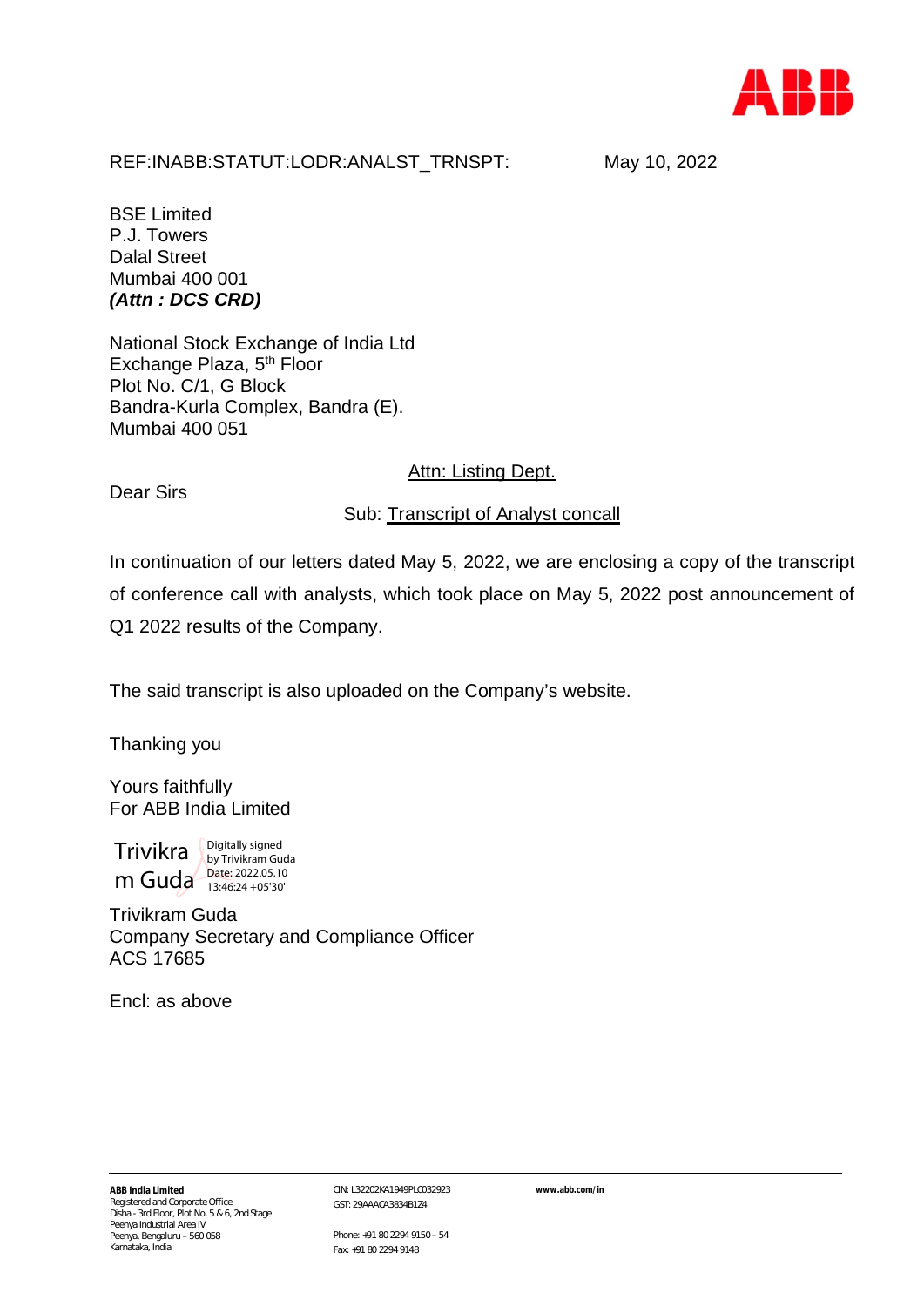

## REF:INABB:STATUT:LODR:ANALST\_TRNSPT: May 10, 2022

BSE Limited P.J. Towers Dalal Street Mumbai 400 001 *(Attn : DCS CRD)*

National Stock Exchange of India Ltd Exchange Plaza, 5<sup>th</sup> Floor Plot No. C/1, G Block Bandra-Kurla Complex, Bandra (E). Mumbai 400 051

## **Attn: Listing Dept.**

Dear Sirs

Sub: Transcript of Analyst concall

In continuation of our letters dated May 5, 2022, we are enclosing a copy of the transcript of conference call with analysts, which took place on May 5, 2022 post announcement of Q1 2022 results of the Company.

The said transcript is also uploaded on the Company's website.

Thanking you

Yours faithfully For ABB India Limited

 $\text{Trivikra }$  Digitally signed  $m$  Guda  $\frac{\text{Date: }2022.05.10}{13:46:24+05'30'}$ by Trivikram Guda  $13:46:24 + 05'30'$ 

Trivikram Guda Company Secretary and Compliance Officer ACS 17685

Encl: as above

CIN: L32202KA1949PLC032923 GST: 29AAACA3834B1Z4

**www.abb.com/in**

Phone: +91 80 2294 9150 – 54 Fax: +91 80 2294 9148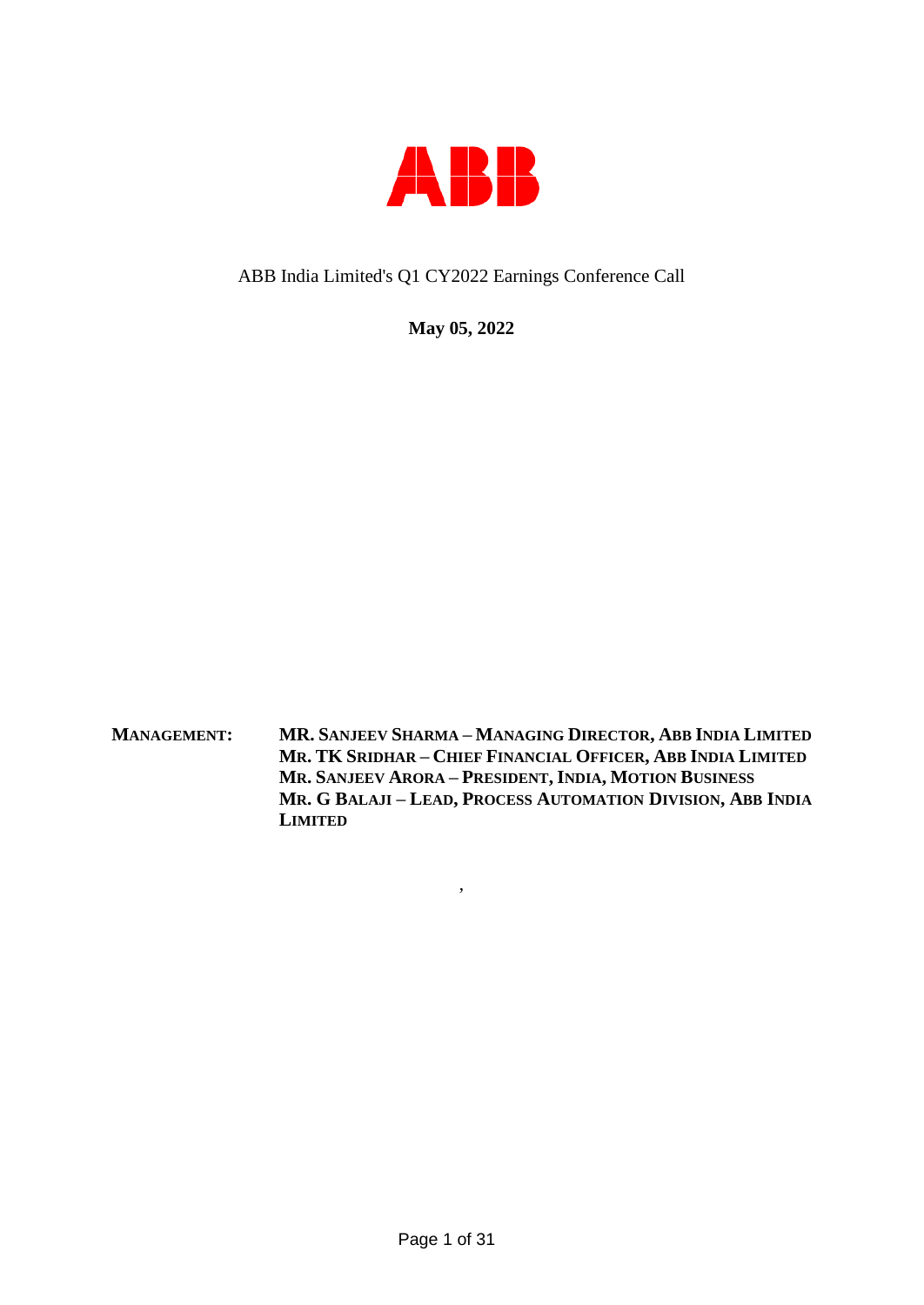

## ABB India Limited's Q1 CY2022 Earnings Conference Call

**May 05, 2022**

**MANAGEMENT: MR. SANJEEV SHARMA – MANAGING DIRECTOR, ABB INDIA LIMITED MR. TK SRIDHAR – CHIEF FINANCIAL OFFICER, ABB INDIA LIMITED MR. SANJEEV ARORA – PRESIDENT, INDIA, MOTION BUSINESS MR. G BALAJI – LEAD, PROCESS AUTOMATION DIVISION, ABB INDIA LIMITED**

,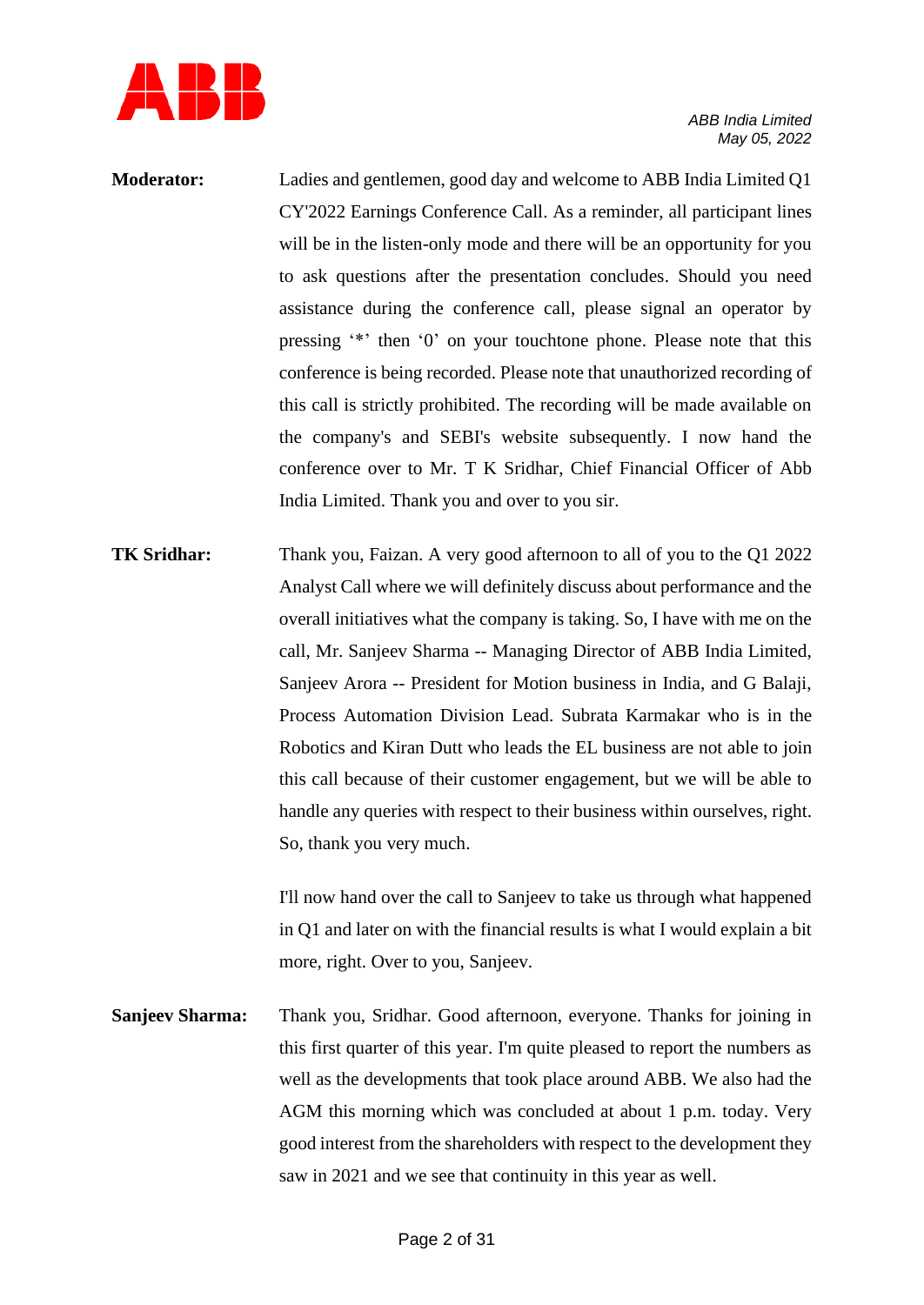

- **Moderator:** Ladies and gentlemen, good day and welcome to ABB India Limited Q1 CY'2022 Earnings Conference Call. As a reminder, all participant lines will be in the listen-only mode and there will be an opportunity for you to ask questions after the presentation concludes. Should you need assistance during the conference call, please signal an operator by pressing '\*' then '0' on your touchtone phone. Please note that this conference is being recorded. Please note that unauthorized recording of this call is strictly prohibited. The recording will be made available on the company's and SEBI's website subsequently. I now hand the conference over to Mr. T K Sridhar, Chief Financial Officer of Abb India Limited. Thank you and over to you sir.
- **TK Sridhar:** Thank you, Faizan. A very good afternoon to all of you to the Q1 2022 Analyst Call where we will definitely discuss about performance and the overall initiatives what the company is taking. So, I have with me on the call, Mr. Sanjeev Sharma -- Managing Director of ABB India Limited, Sanjeev Arora -- President for Motion business in India, and G Balaji, Process Automation Division Lead. Subrata Karmakar who is in the Robotics and Kiran Dutt who leads the EL business are not able to join this call because of their customer engagement, but we will be able to handle any queries with respect to their business within ourselves, right. So, thank you very much.

I'll now hand over the call to Sanjeev to take us through what happened in Q1 and later on with the financial results is what I would explain a bit more, right. Over to you, Sanjeev.

**Sanjeev Sharma:** Thank you, Sridhar. Good afternoon, everyone. Thanks for joining in this first quarter of this year. I'm quite pleased to report the numbers as well as the developments that took place around ABB. We also had the AGM this morning which was concluded at about 1 p.m. today. Very good interest from the shareholders with respect to the development they saw in 2021 and we see that continuity in this year as well.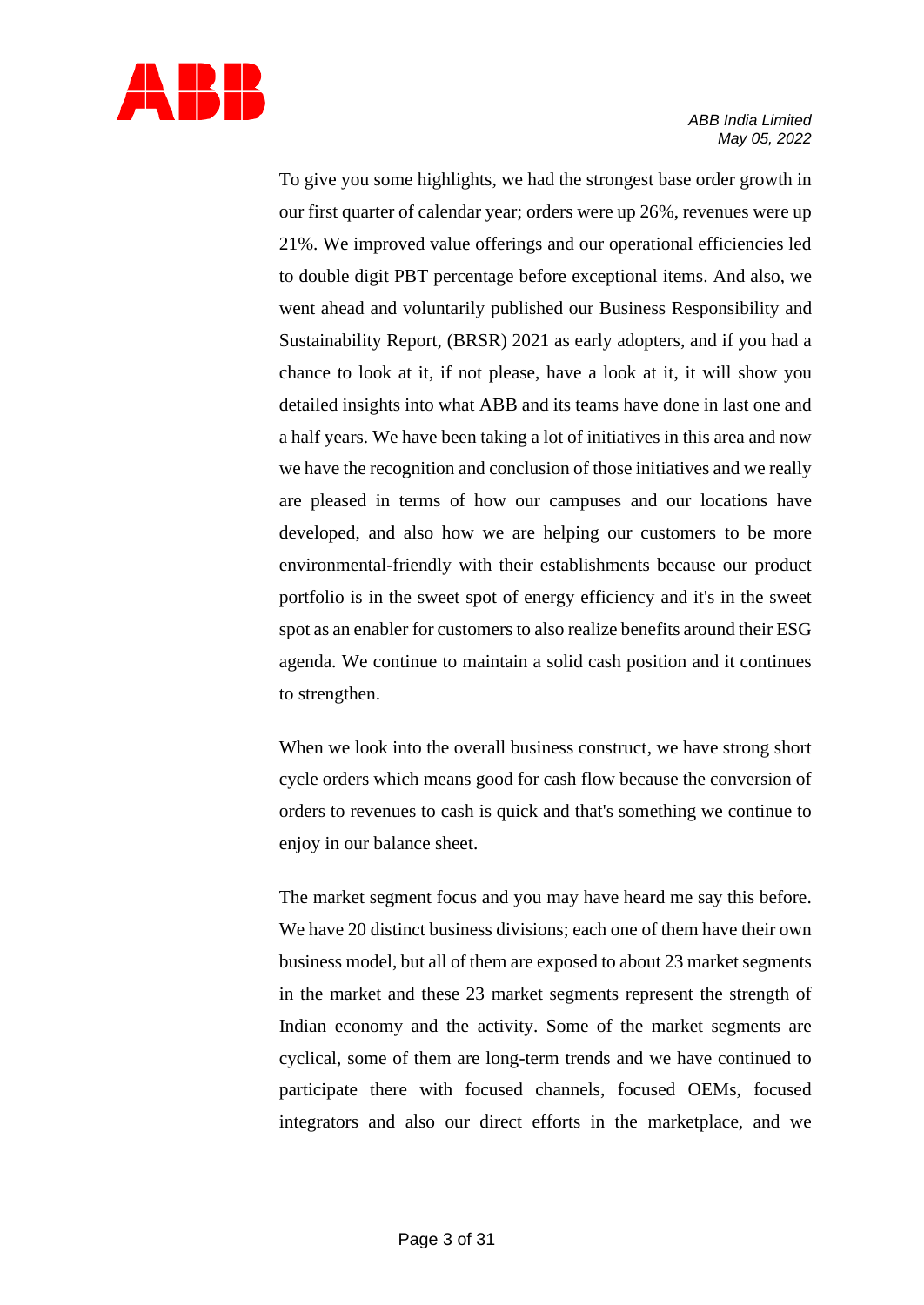

To give you some highlights, we had the strongest base order growth in our first quarter of calendar year; orders were up 26%, revenues were up 21%. We improved value offerings and our operational efficiencies led to double digit PBT percentage before exceptional items. And also, we went ahead and voluntarily published our Business Responsibility and Sustainability Report, (BRSR) 2021 as early adopters, and if you had a chance to look at it, if not please, have a look at it, it will show you detailed insights into what ABB and its teams have done in last one and a half years. We have been taking a lot of initiatives in this area and now we have the recognition and conclusion of those initiatives and we really are pleased in terms of how our campuses and our locations have developed, and also how we are helping our customers to be more environmental-friendly with their establishments because our product portfolio is in the sweet spot of energy efficiency and it's in the sweet spot as an enabler for customers to also realize benefits around their ESG agenda. We continue to maintain a solid cash position and it continues to strengthen.

When we look into the overall business construct, we have strong short cycle orders which means good for cash flow because the conversion of orders to revenues to cash is quick and that's something we continue to enjoy in our balance sheet.

The market segment focus and you may have heard me say this before. We have 20 distinct business divisions; each one of them have their own business model, but all of them are exposed to about 23 market segments in the market and these 23 market segments represent the strength of Indian economy and the activity. Some of the market segments are cyclical, some of them are long-term trends and we have continued to participate there with focused channels, focused OEMs, focused integrators and also our direct efforts in the marketplace, and we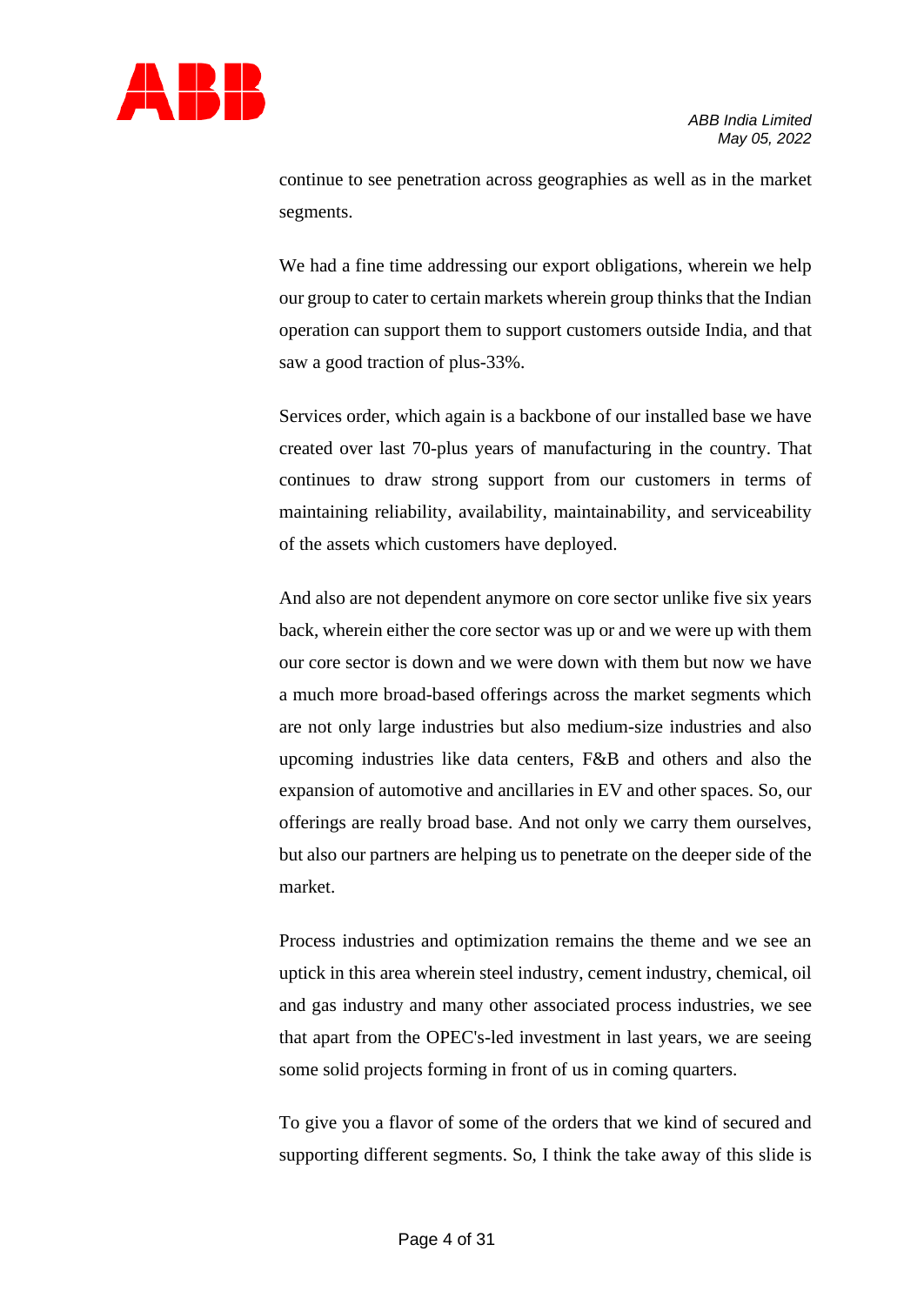

continue to see penetration across geographies as well as in the market segments.

We had a fine time addressing our export obligations, wherein we help our group to cater to certain markets wherein group thinks that the Indian operation can support them to support customers outside India, and that saw a good traction of plus-33%.

Services order, which again is a backbone of our installed base we have created over last 70-plus years of manufacturing in the country. That continues to draw strong support from our customers in terms of maintaining reliability, availability, maintainability, and serviceability of the assets which customers have deployed.

And also are not dependent anymore on core sector unlike five six years back, wherein either the core sector was up or and we were up with them our core sector is down and we were down with them but now we have a much more broad-based offerings across the market segments which are not only large industries but also medium-size industries and also upcoming industries like data centers, F&B and others and also the expansion of automotive and ancillaries in EV and other spaces. So, our offerings are really broad base. And not only we carry them ourselves, but also our partners are helping us to penetrate on the deeper side of the market.

Process industries and optimization remains the theme and we see an uptick in this area wherein steel industry, cement industry, chemical, oil and gas industry and many other associated process industries, we see that apart from the OPEC's-led investment in last years, we are seeing some solid projects forming in front of us in coming quarters.

To give you a flavor of some of the orders that we kind of secured and supporting different segments. So, I think the take away of this slide is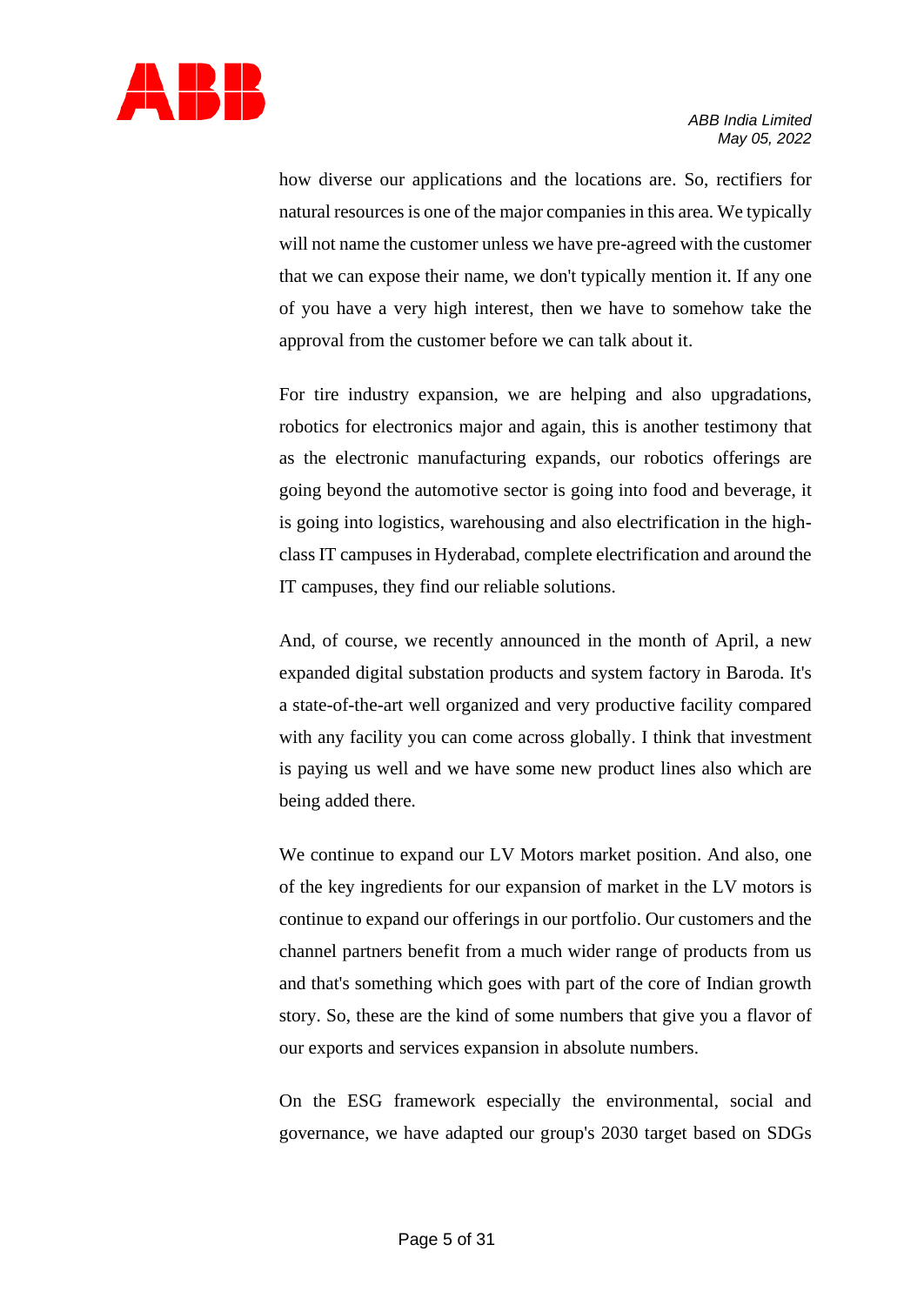

how diverse our applications and the locations are. So, rectifiers for natural resources is one of the major companiesin this area. We typically will not name the customer unless we have pre-agreed with the customer that we can expose their name, we don't typically mention it. If any one of you have a very high interest, then we have to somehow take the approval from the customer before we can talk about it.

For tire industry expansion, we are helping and also upgradations, robotics for electronics major and again, this is another testimony that as the electronic manufacturing expands, our robotics offerings are going beyond the automotive sector is going into food and beverage, it is going into logistics, warehousing and also electrification in the highclass IT campuses in Hyderabad, complete electrification and around the IT campuses, they find our reliable solutions.

And, of course, we recently announced in the month of April, a new expanded digital substation products and system factory in Baroda. It's a state-of-the-art well organized and very productive facility compared with any facility you can come across globally. I think that investment is paying us well and we have some new product lines also which are being added there.

We continue to expand our LV Motors market position. And also, one of the key ingredients for our expansion of market in the LV motors is continue to expand our offerings in our portfolio. Our customers and the channel partners benefit from a much wider range of products from us and that's something which goes with part of the core of Indian growth story. So, these are the kind of some numbers that give you a flavor of our exports and services expansion in absolute numbers.

On the ESG framework especially the environmental, social and governance, we have adapted our group's 2030 target based on SDGs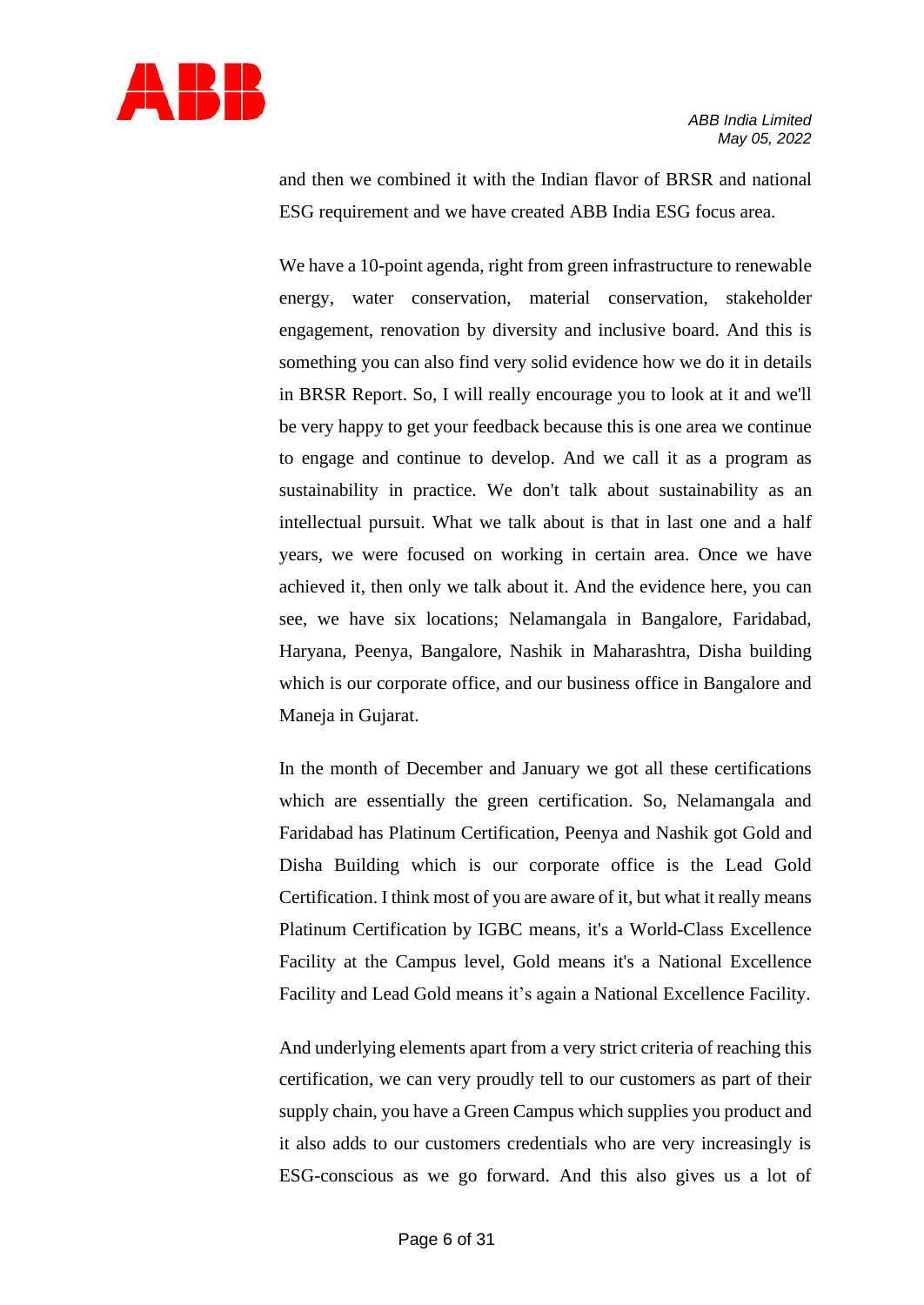

and then we combined it with the Indian flavor of BRSR and national ESG requirement and we have created ABB India ESG focus area.

We have a 10-point agenda, right from green infrastructure to renewable energy, water conservation, material conservation, stakeholder engagement, renovation by diversity and inclusive board. And this is something you can also find very solid evidence how we do it in details in BRSR Report. So, I will really encourage you to look at it and we'll be very happy to get your feedback because this is one area we continue to engage and continue to develop. And we call it as a program as sustainability in practice. We don't talk about sustainability as an intellectual pursuit. What we talk about is that in last one and a half years, we were focused on working in certain area. Once we have achieved it, then only we talk about it. And the evidence here, you can see, we have six locations; Nelamangala in Bangalore, Faridabad, Haryana, Peenya, Bangalore, Nashik in Maharashtra, Disha building which is our corporate office, and our business office in Bangalore and Maneja in Gujarat.

In the month of December and January we got all these certifications which are essentially the green certification. So, Nelamangala and Faridabad has Platinum Certification, Peenya and Nashik got Gold and Disha Building which is our corporate office is the Lead Gold Certification. I think most of you are aware of it, but what it really means Platinum Certification by IGBC means, it's a World-Class Excellence Facility at the Campus level, Gold means it's a National Excellence Facility and Lead Gold means it's again a National Excellence Facility.

And underlying elements apart from a very strict criteria of reaching this certification, we can very proudly tell to our customers as part of their supply chain, you have a Green Campus which supplies you product and it also adds to our customers credentials who are very increasingly is ESG-conscious as we go forward. And this also gives us a lot of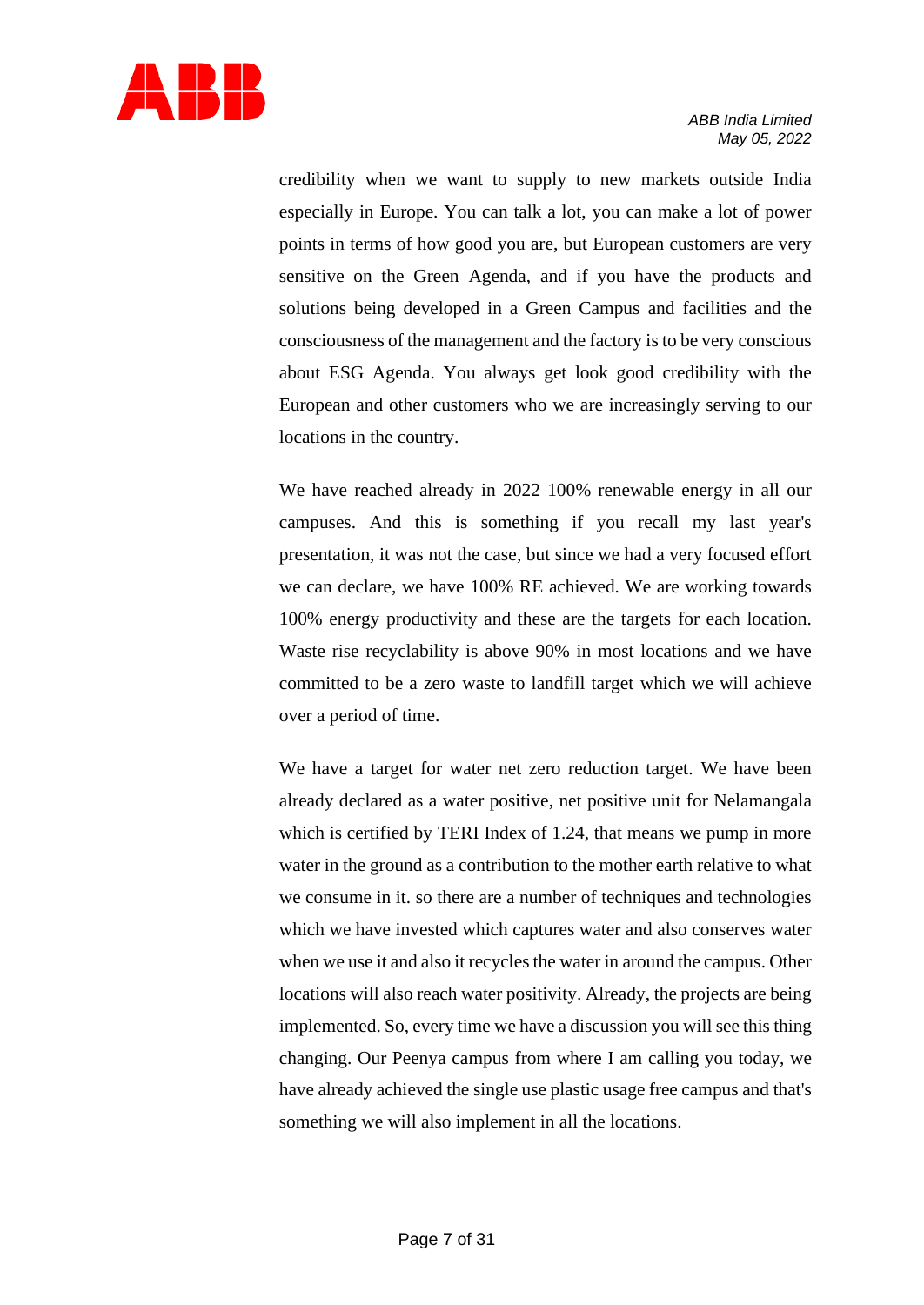

credibility when we want to supply to new markets outside India especially in Europe. You can talk a lot, you can make a lot of power points in terms of how good you are, but European customers are very sensitive on the Green Agenda, and if you have the products and solutions being developed in a Green Campus and facilities and the consciousness of the management and the factory is to be very conscious about ESG Agenda. You always get look good credibility with the European and other customers who we are increasingly serving to our locations in the country.

We have reached already in 2022 100% renewable energy in all our campuses. And this is something if you recall my last year's presentation, it was not the case, but since we had a very focused effort we can declare, we have 100% RE achieved. We are working towards 100% energy productivity and these are the targets for each location. Waste rise recyclability is above 90% in most locations and we have committed to be a zero waste to landfill target which we will achieve over a period of time.

We have a target for water net zero reduction target. We have been already declared as a water positive, net positive unit for Nelamangala which is certified by TERI Index of 1.24, that means we pump in more water in the ground as a contribution to the mother earth relative to what we consume in it. so there are a number of techniques and technologies which we have invested which captures water and also conserves water when we use it and also it recycles the water in around the campus. Other locations will also reach water positivity. Already, the projects are being implemented. So, every time we have a discussion you will see this thing changing. Our Peenya campus from where I am calling you today, we have already achieved the single use plastic usage free campus and that's something we will also implement in all the locations.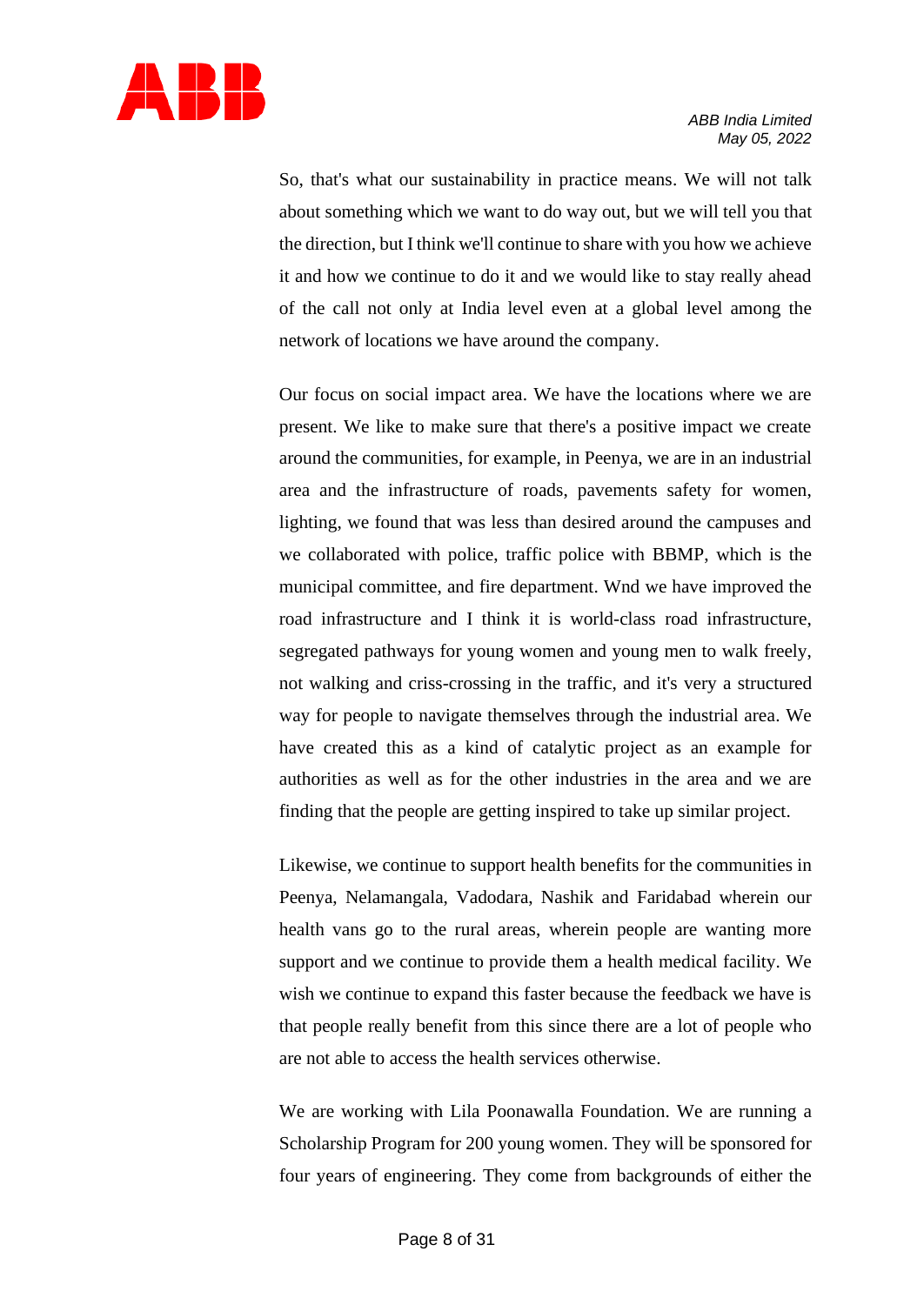

So, that's what our sustainability in practice means. We will not talk about something which we want to do way out, but we will tell you that the direction, but I think we'll continue to share with you how we achieve it and how we continue to do it and we would like to stay really ahead of the call not only at India level even at a global level among the network of locations we have around the company.

Our focus on social impact area. We have the locations where we are present. We like to make sure that there's a positive impact we create around the communities, for example, in Peenya, we are in an industrial area and the infrastructure of roads, pavements safety for women, lighting, we found that was less than desired around the campuses and we collaborated with police, traffic police with BBMP, which is the municipal committee, and fire department. Wnd we have improved the road infrastructure and I think it is world-class road infrastructure, segregated pathways for young women and young men to walk freely, not walking and criss-crossing in the traffic, and it's very a structured way for people to navigate themselves through the industrial area. We have created this as a kind of catalytic project as an example for authorities as well as for the other industries in the area and we are finding that the people are getting inspired to take up similar project.

Likewise, we continue to support health benefits for the communities in Peenya, Nelamangala, Vadodara, Nashik and Faridabad wherein our health vans go to the rural areas, wherein people are wanting more support and we continue to provide them a health medical facility. We wish we continue to expand this faster because the feedback we have is that people really benefit from this since there are a lot of people who are not able to access the health services otherwise.

We are working with Lila Poonawalla Foundation. We are running a Scholarship Program for 200 young women. They will be sponsored for four years of engineering. They come from backgrounds of either the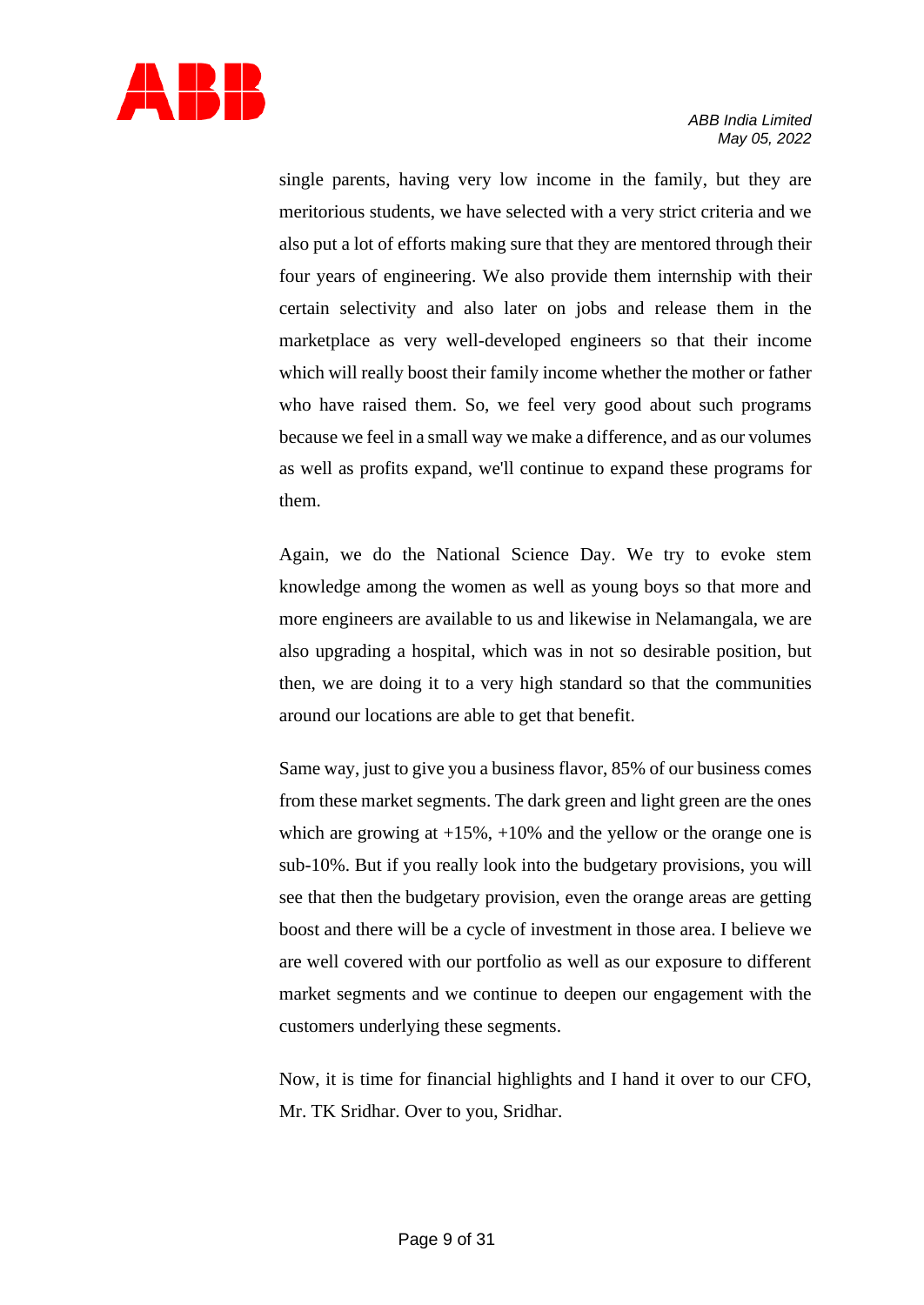

single parents, having very low income in the family, but they are meritorious students, we have selected with a very strict criteria and we also put a lot of efforts making sure that they are mentored through their four years of engineering. We also provide them internship with their certain selectivity and also later on jobs and release them in the marketplace as very well-developed engineers so that their income which will really boost their family income whether the mother or father who have raised them. So, we feel very good about such programs because we feel in a small way we make a difference, and as our volumes as well as profits expand, we'll continue to expand these programs for them.

Again, we do the National Science Day. We try to evoke stem knowledge among the women as well as young boys so that more and more engineers are available to us and likewise in Nelamangala, we are also upgrading a hospital, which was in not so desirable position, but then, we are doing it to a very high standard so that the communities around our locations are able to get that benefit.

Same way, just to give you a business flavor, 85% of our business comes from these market segments. The dark green and light green are the ones which are growing at  $+15\%$ ,  $+10\%$  and the yellow or the orange one is sub-10%. But if you really look into the budgetary provisions, you will see that then the budgetary provision, even the orange areas are getting boost and there will be a cycle of investment in those area. I believe we are well covered with our portfolio as well as our exposure to different market segments and we continue to deepen our engagement with the customers underlying these segments.

Now, it is time for financial highlights and I hand it over to our CFO, Mr. TK Sridhar. Over to you, Sridhar.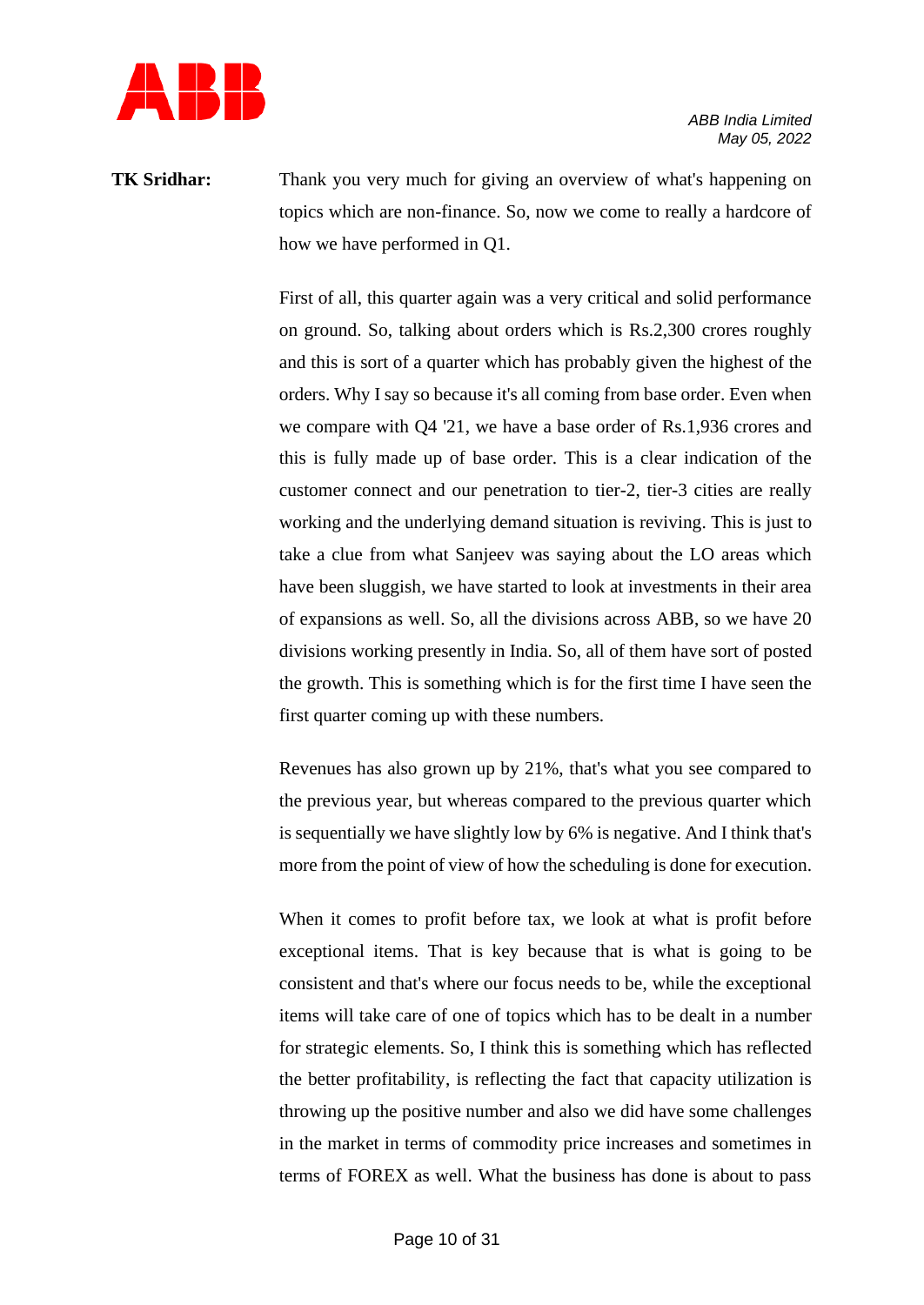

**TK Sridhar:** Thank you very much for giving an overview of what's happening on topics which are non-finance. So, now we come to really a hardcore of how we have performed in Q1.

> First of all, this quarter again was a very critical and solid performance on ground. So, talking about orders which is Rs.2,300 crores roughly and this is sort of a quarter which has probably given the highest of the orders. Why I say so because it's all coming from base order. Even when we compare with Q4 '21, we have a base order of Rs.1,936 crores and this is fully made up of base order. This is a clear indication of the customer connect and our penetration to tier-2, tier-3 cities are really working and the underlying demand situation is reviving. This is just to take a clue from what Sanjeev was saying about the LO areas which have been sluggish, we have started to look at investments in their area of expansions as well. So, all the divisions across ABB, so we have 20 divisions working presently in India. So, all of them have sort of posted the growth. This is something which is for the first time I have seen the first quarter coming up with these numbers.

> Revenues has also grown up by 21%, that's what you see compared to the previous year, but whereas compared to the previous quarter which is sequentially we have slightly low by 6% is negative. And I think that's more from the point of view of how the scheduling is done for execution.

> When it comes to profit before tax, we look at what is profit before exceptional items. That is key because that is what is going to be consistent and that's where our focus needs to be, while the exceptional items will take care of one of topics which has to be dealt in a number for strategic elements. So, I think this is something which has reflected the better profitability, is reflecting the fact that capacity utilization is throwing up the positive number and also we did have some challenges in the market in terms of commodity price increases and sometimes in terms of FOREX as well. What the business has done is about to pass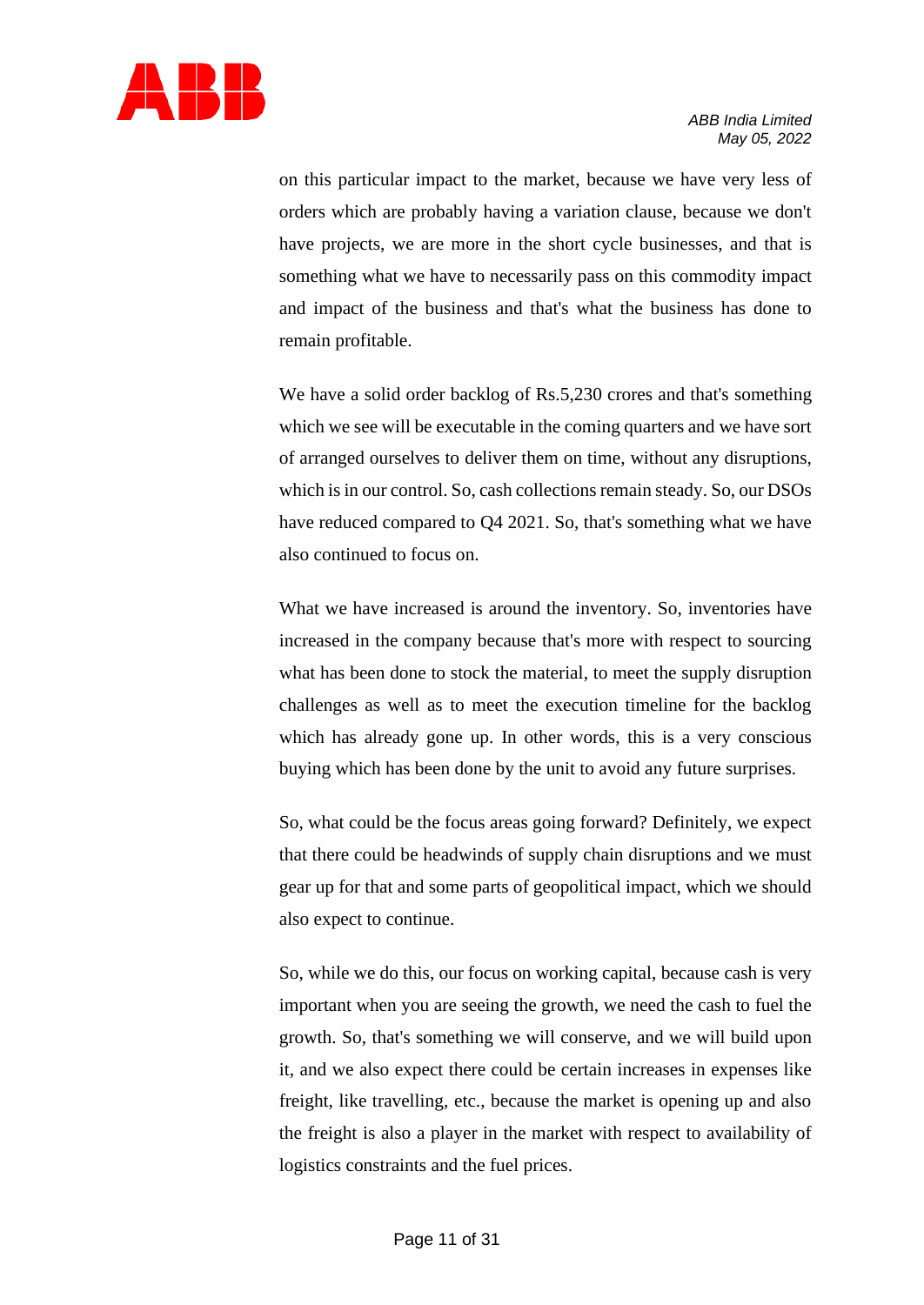

on this particular impact to the market, because we have very less of orders which are probably having a variation clause, because we don't have projects, we are more in the short cycle businesses, and that is something what we have to necessarily pass on this commodity impact and impact of the business and that's what the business has done to remain profitable.

We have a solid order backlog of Rs.5,230 crores and that's something which we see will be executable in the coming quarters and we have sort of arranged ourselves to deliver them on time, without any disruptions, which is in our control. So, cash collections remain steady. So, our DSOs have reduced compared to Q4 2021. So, that's something what we have also continued to focus on.

What we have increased is around the inventory. So, inventories have increased in the company because that's more with respect to sourcing what has been done to stock the material, to meet the supply disruption challenges as well as to meet the execution timeline for the backlog which has already gone up. In other words, this is a very conscious buying which has been done by the unit to avoid any future surprises.

So, what could be the focus areas going forward? Definitely, we expect that there could be headwinds of supply chain disruptions and we must gear up for that and some parts of geopolitical impact, which we should also expect to continue.

So, while we do this, our focus on working capital, because cash is very important when you are seeing the growth, we need the cash to fuel the growth. So, that's something we will conserve, and we will build upon it, and we also expect there could be certain increases in expenses like freight, like travelling, etc., because the market is opening up and also the freight is also a player in the market with respect to availability of logistics constraints and the fuel prices.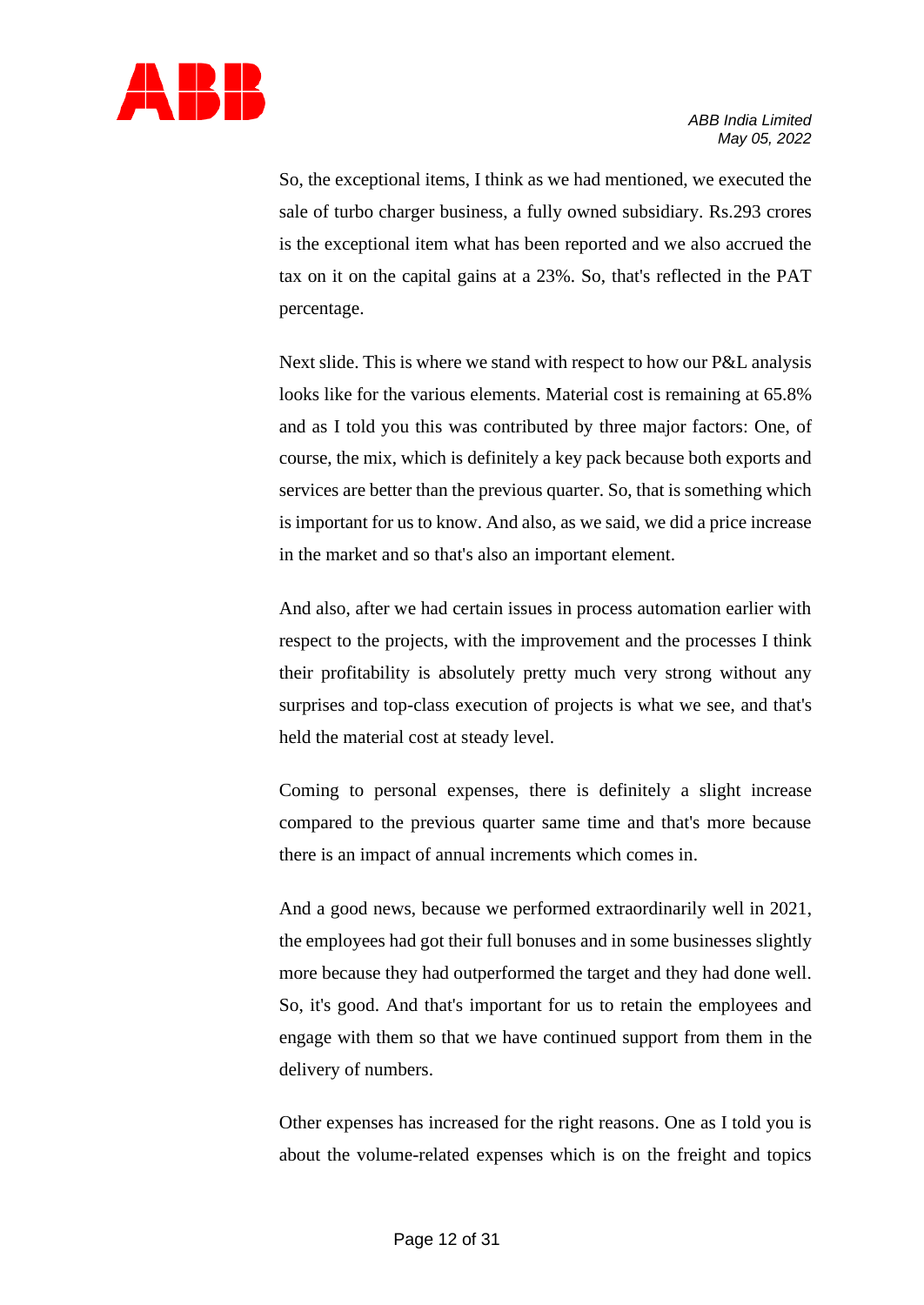

So, the exceptional items, I think as we had mentioned, we executed the sale of turbo charger business, a fully owned subsidiary. Rs.293 crores is the exceptional item what has been reported and we also accrued the tax on it on the capital gains at a 23%. So, that's reflected in the PAT percentage.

Next slide. This is where we stand with respect to how our P&L analysis looks like for the various elements. Material cost is remaining at 65.8% and as I told you this was contributed by three major factors: One, of course, the mix, which is definitely a key pack because both exports and services are better than the previous quarter. So, that is something which is important for us to know. And also, as we said, we did a price increase in the market and so that's also an important element.

And also, after we had certain issues in process automation earlier with respect to the projects, with the improvement and the processes I think their profitability is absolutely pretty much very strong without any surprises and top-class execution of projects is what we see, and that's held the material cost at steady level.

Coming to personal expenses, there is definitely a slight increase compared to the previous quarter same time and that's more because there is an impact of annual increments which comes in.

And a good news, because we performed extraordinarily well in 2021, the employees had got their full bonuses and in some businesses slightly more because they had outperformed the target and they had done well. So, it's good. And that's important for us to retain the employees and engage with them so that we have continued support from them in the delivery of numbers.

Other expenses has increased for the right reasons. One as I told you is about the volume-related expenses which is on the freight and topics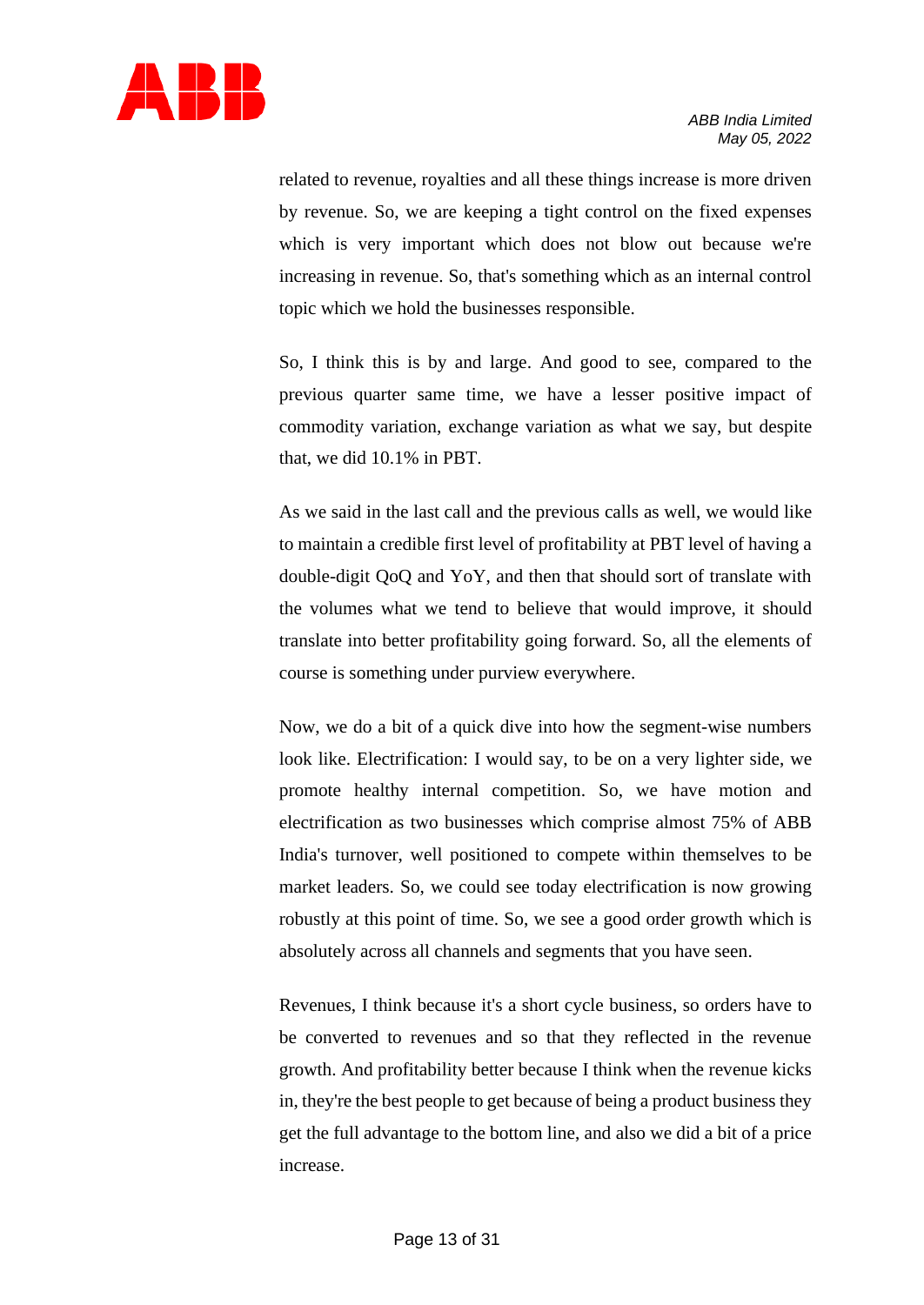

related to revenue, royalties and all these things increase is more driven by revenue. So, we are keeping a tight control on the fixed expenses which is very important which does not blow out because we're increasing in revenue. So, that's something which as an internal control topic which we hold the businesses responsible.

So, I think this is by and large. And good to see, compared to the previous quarter same time, we have a lesser positive impact of commodity variation, exchange variation as what we say, but despite that, we did 10.1% in PBT.

As we said in the last call and the previous calls as well, we would like to maintain a credible first level of profitability at PBT level of having a double-digit QoQ and YoY, and then that should sort of translate with the volumes what we tend to believe that would improve, it should translate into better profitability going forward. So, all the elements of course is something under purview everywhere.

Now, we do a bit of a quick dive into how the segment-wise numbers look like. Electrification: I would say, to be on a very lighter side, we promote healthy internal competition. So, we have motion and electrification as two businesses which comprise almost 75% of ABB India's turnover, well positioned to compete within themselves to be market leaders. So, we could see today electrification is now growing robustly at this point of time. So, we see a good order growth which is absolutely across all channels and segments that you have seen.

Revenues, I think because it's a short cycle business, so orders have to be converted to revenues and so that they reflected in the revenue growth. And profitability better because I think when the revenue kicks in, they're the best people to get because of being a product business they get the full advantage to the bottom line, and also we did a bit of a price increase.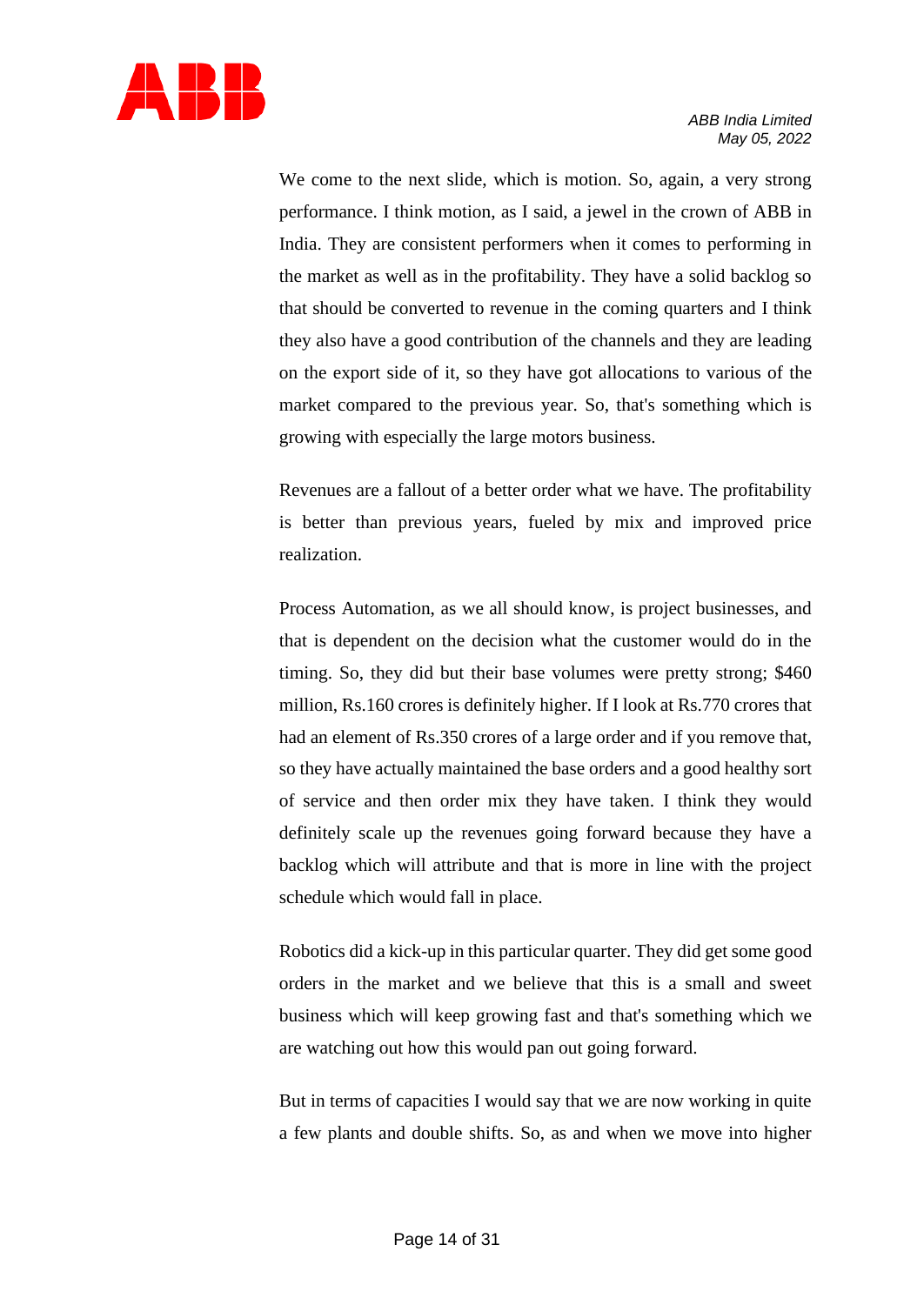

We come to the next slide, which is motion. So, again, a very strong performance. I think motion, as I said, a jewel in the crown of ABB in India. They are consistent performers when it comes to performing in the market as well as in the profitability. They have a solid backlog so that should be converted to revenue in the coming quarters and I think they also have a good contribution of the channels and they are leading on the export side of it, so they have got allocations to various of the market compared to the previous year. So, that's something which is growing with especially the large motors business.

Revenues are a fallout of a better order what we have. The profitability is better than previous years, fueled by mix and improved price realization.

Process Automation, as we all should know, is project businesses, and that is dependent on the decision what the customer would do in the timing. So, they did but their base volumes were pretty strong; \$460 million, Rs.160 crores is definitely higher. If I look at Rs.770 crores that had an element of Rs.350 crores of a large order and if you remove that, so they have actually maintained the base orders and a good healthy sort of service and then order mix they have taken. I think they would definitely scale up the revenues going forward because they have a backlog which will attribute and that is more in line with the project schedule which would fall in place.

Robotics did a kick-up in this particular quarter. They did get some good orders in the market and we believe that this is a small and sweet business which will keep growing fast and that's something which we are watching out how this would pan out going forward.

But in terms of capacities I would say that we are now working in quite a few plants and double shifts. So, as and when we move into higher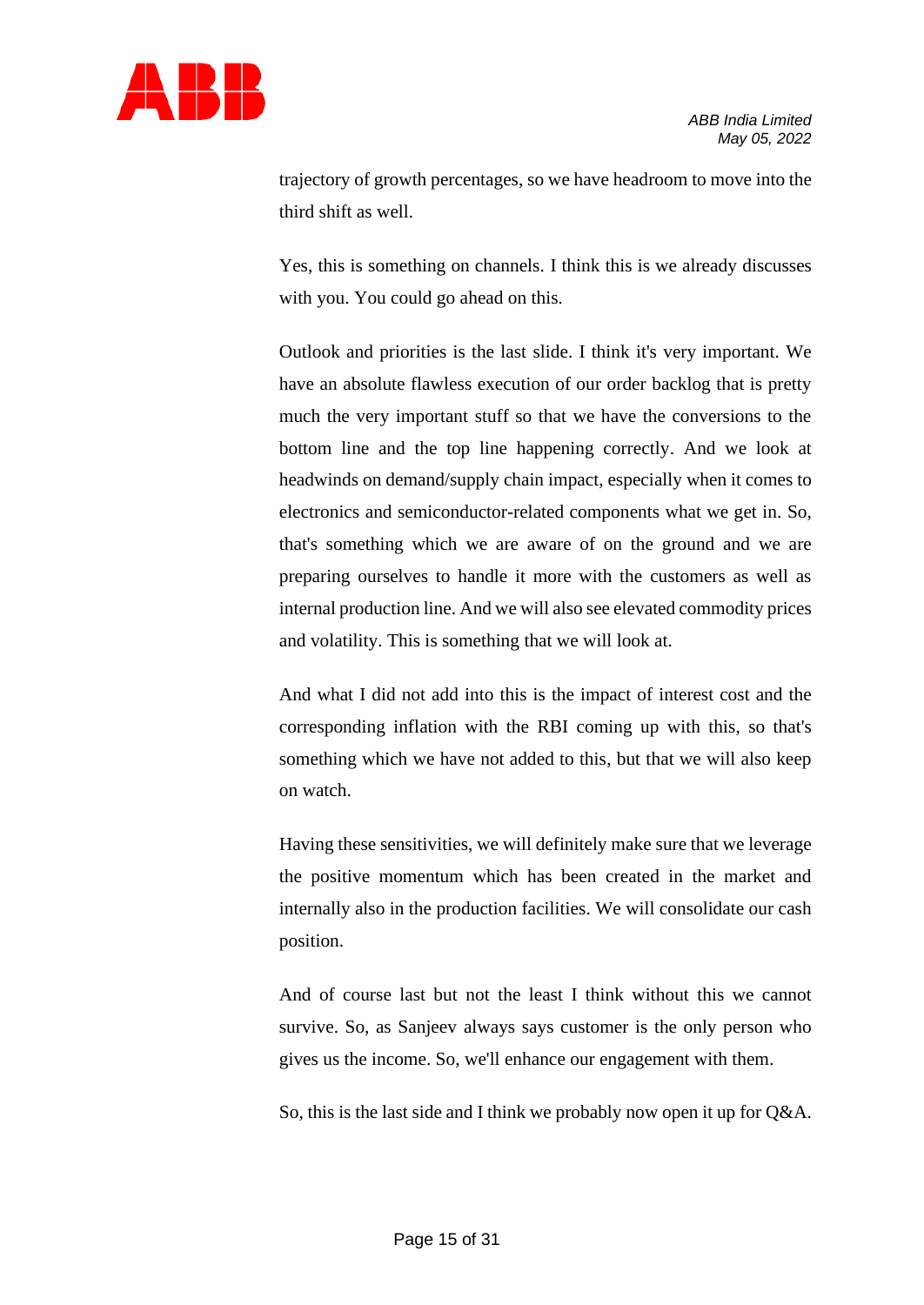

trajectory of growth percentages, so we have headroom to move into the third shift as well.

Yes, this is something on channels. I think this is we already discusses with you. You could go ahead on this.

Outlook and priorities is the last slide. I think it's very important. We have an absolute flawless execution of our order backlog that is pretty much the very important stuff so that we have the conversions to the bottom line and the top line happening correctly. And we look at headwinds on demand/supply chain impact, especially when it comes to electronics and semiconductor-related components what we get in. So, that's something which we are aware of on the ground and we are preparing ourselves to handle it more with the customers as well as internal production line. And we will also see elevated commodity prices and volatility. This is something that we will look at.

And what I did not add into this is the impact of interest cost and the corresponding inflation with the RBI coming up with this, so that's something which we have not added to this, but that we will also keep on watch.

Having these sensitivities, we will definitely make sure that we leverage the positive momentum which has been created in the market and internally also in the production facilities. We will consolidate our cash position.

And of course last but not the least I think without this we cannot survive. So, as Sanjeev always says customer is the only person who gives us the income. So, we'll enhance our engagement with them.

So, this is the last side and I think we probably now open it up for Q&A.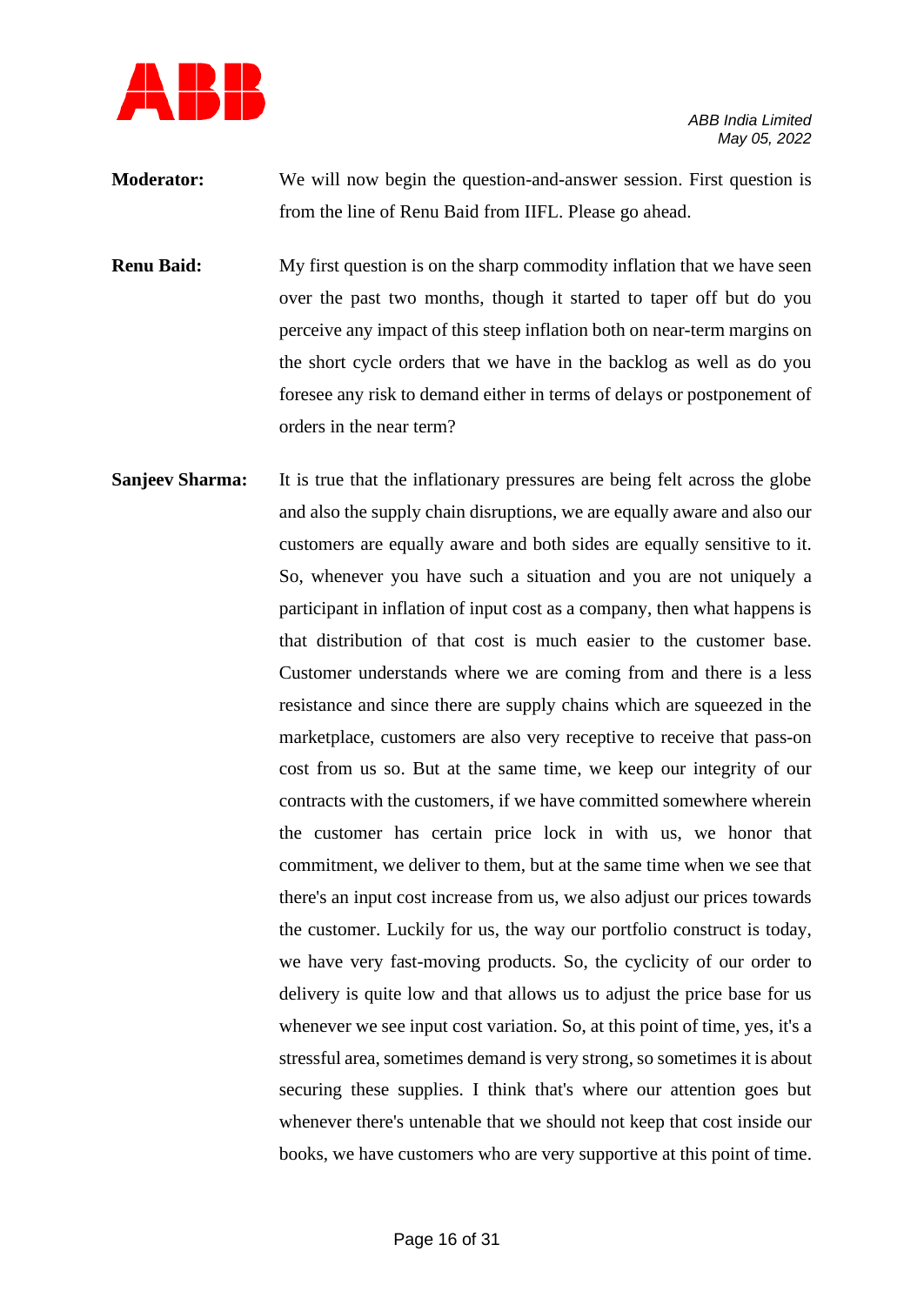

- **Moderator:** We will now begin the question-and-answer session. First question is from the line of Renu Baid from IIFL. Please go ahead.
- **Renu Baid:** My first question is on the sharp commodity inflation that we have seen over the past two months, though it started to taper off but do you perceive any impact of this steep inflation both on near-term margins on the short cycle orders that we have in the backlog as well as do you foresee any risk to demand either in terms of delays or postponement of orders in the near term?
- **Sanjeev Sharma:** It is true that the inflationary pressures are being felt across the globe and also the supply chain disruptions, we are equally aware and also our customers are equally aware and both sides are equally sensitive to it. So, whenever you have such a situation and you are not uniquely a participant in inflation of input cost as a company, then what happens is that distribution of that cost is much easier to the customer base. Customer understands where we are coming from and there is a less resistance and since there are supply chains which are squeezed in the marketplace, customers are also very receptive to receive that pass-on cost from us so. But at the same time, we keep our integrity of our contracts with the customers, if we have committed somewhere wherein the customer has certain price lock in with us, we honor that commitment, we deliver to them, but at the same time when we see that there's an input cost increase from us, we also adjust our prices towards the customer. Luckily for us, the way our portfolio construct is today, we have very fast-moving products. So, the cyclicity of our order to delivery is quite low and that allows us to adjust the price base for us whenever we see input cost variation. So, at this point of time, yes, it's a stressful area, sometimes demand is very strong, so sometimes it is about securing these supplies. I think that's where our attention goes but whenever there's untenable that we should not keep that cost inside our books, we have customers who are very supportive at this point of time.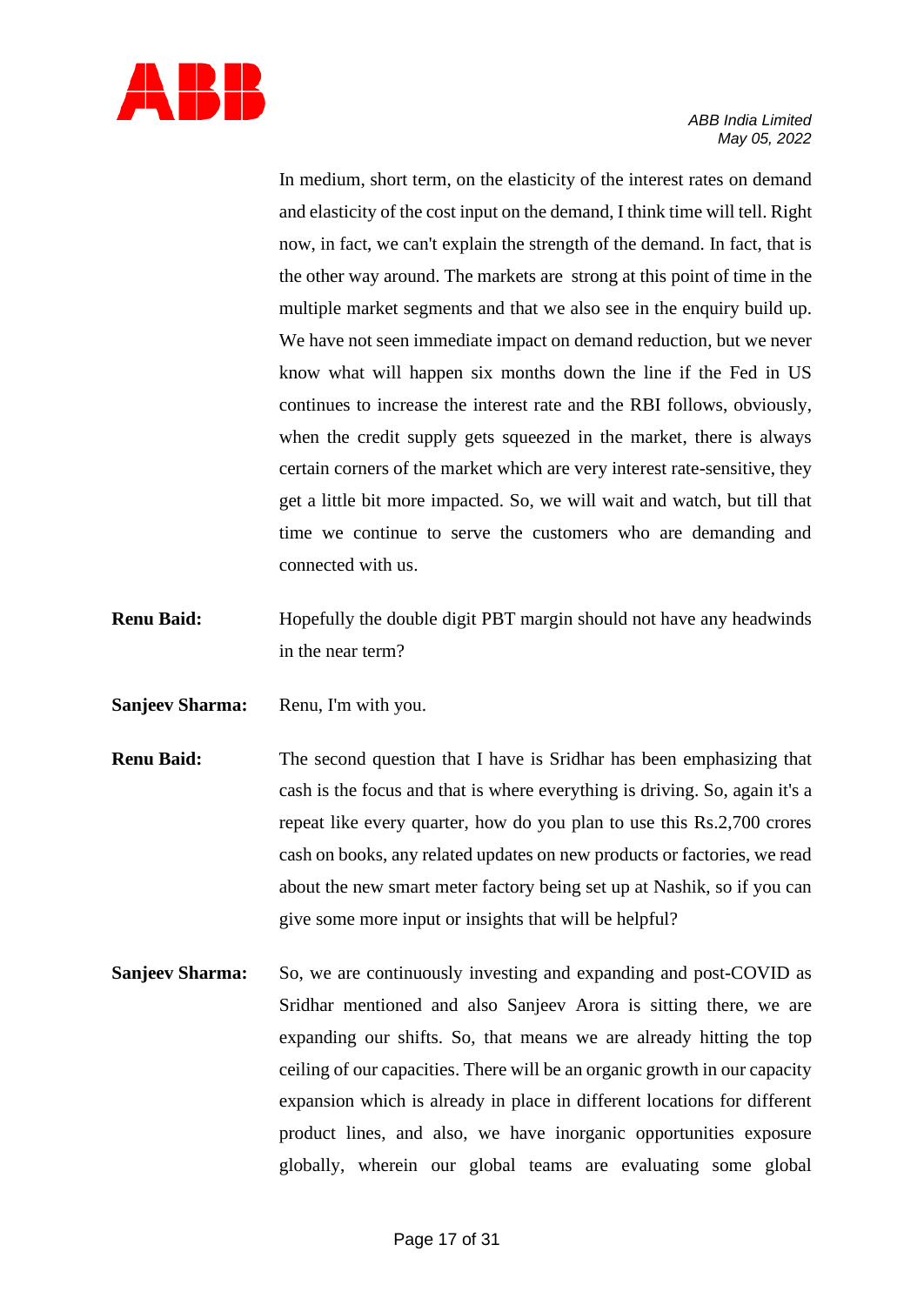

In medium, short term, on the elasticity of the interest rates on demand and elasticity of the cost input on the demand, I think time will tell. Right now, in fact, we can't explain the strength of the demand. In fact, that is the other way around. The markets are strong at this point of time in the multiple market segments and that we also see in the enquiry build up. We have not seen immediate impact on demand reduction, but we never know what will happen six months down the line if the Fed in US continues to increase the interest rate and the RBI follows, obviously, when the credit supply gets squeezed in the market, there is always certain corners of the market which are very interest rate-sensitive, they get a little bit more impacted. So, we will wait and watch, but till that time we continue to serve the customers who are demanding and connected with us.

- **Renu Baid:** Hopefully the double digit PBT margin should not have any headwinds in the near term?
- **Sanjeev Sharma:** Renu, I'm with you.
- **Renu Baid:** The second question that I have is Sridhar has been emphasizing that cash is the focus and that is where everything is driving. So, again it's a repeat like every quarter, how do you plan to use this Rs.2,700 crores cash on books, any related updates on new products or factories, we read about the new smart meter factory being set up at Nashik, so if you can give some more input or insights that will be helpful?
- **Sanjeev Sharma:** So, we are continuously investing and expanding and post-COVID as Sridhar mentioned and also Sanjeev Arora is sitting there, we are expanding our shifts. So, that means we are already hitting the top ceiling of our capacities. There will be an organic growth in our capacity expansion which is already in place in different locations for different product lines, and also, we have inorganic opportunities exposure globally, wherein our global teams are evaluating some global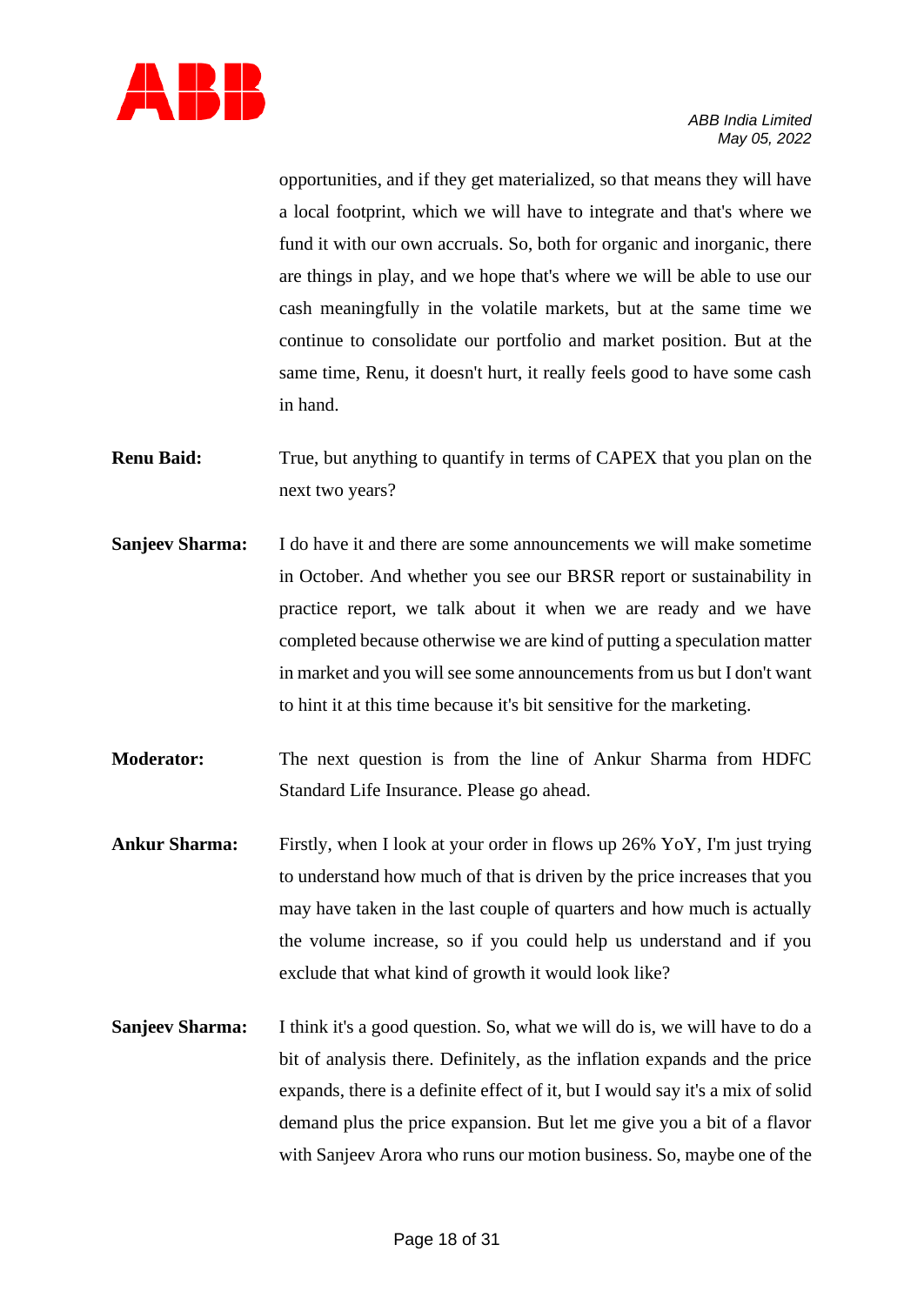

opportunities, and if they get materialized, so that means they will have a local footprint, which we will have to integrate and that's where we fund it with our own accruals. So, both for organic and inorganic, there are things in play, and we hope that's where we will be able to use our cash meaningfully in the volatile markets, but at the same time we continue to consolidate our portfolio and market position. But at the same time, Renu, it doesn't hurt, it really feels good to have some cash in hand.

- **Renu Baid:** True, but anything to quantify in terms of CAPEX that you plan on the next two years?
- **Sanjeev Sharma:** I do have it and there are some announcements we will make sometime in October. And whether you see our BRSR report or sustainability in practice report, we talk about it when we are ready and we have completed because otherwise we are kind of putting a speculation matter in market and you will see some announcements from us but I don't want to hint it at this time because it's bit sensitive for the marketing.
- **Moderator:** The next question is from the line of Ankur Sharma from HDFC Standard Life Insurance. Please go ahead.
- **Ankur Sharma:** Firstly, when I look at your order in flows up 26% YoY, I'm just trying to understand how much of that is driven by the price increases that you may have taken in the last couple of quarters and how much is actually the volume increase, so if you could help us understand and if you exclude that what kind of growth it would look like?
- **Sanjeev Sharma:** I think it's a good question. So, what we will do is, we will have to do a bit of analysis there. Definitely, as the inflation expands and the price expands, there is a definite effect of it, but I would say it's a mix of solid demand plus the price expansion. But let me give you a bit of a flavor with Sanjeev Arora who runs our motion business. So, maybe one of the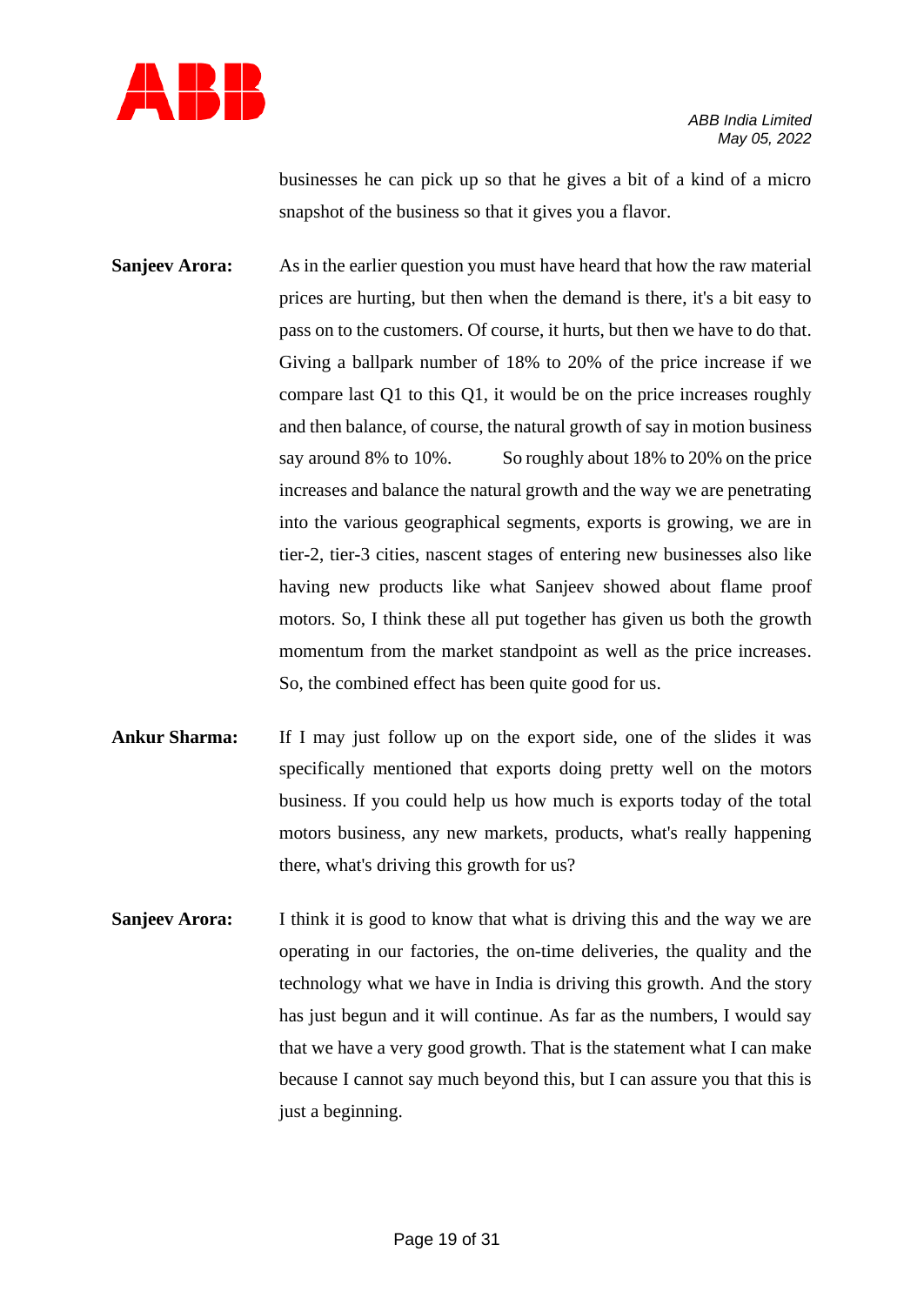

businesses he can pick up so that he gives a bit of a kind of a micro snapshot of the business so that it gives you a flavor.

**Sanjeev Arora:** As in the earlier question you must have heard that how the raw material prices are hurting, but then when the demand is there, it's a bit easy to pass on to the customers. Of course, it hurts, but then we have to do that. Giving a ballpark number of 18% to 20% of the price increase if we compare last Q1 to this Q1, it would be on the price increases roughly and then balance, of course, the natural growth of say in motion business say around 8% to 10%. So roughly about 18% to 20% on the price increases and balance the natural growth and the way we are penetrating into the various geographical segments, exports is growing, we are in tier-2, tier-3 cities, nascent stages of entering new businesses also like having new products like what Sanjeev showed about flame proof motors. So, I think these all put together has given us both the growth momentum from the market standpoint as well as the price increases. So, the combined effect has been quite good for us.

- **Ankur Sharma:** If I may just follow up on the export side, one of the slides it was specifically mentioned that exports doing pretty well on the motors business. If you could help us how much is exports today of the total motors business, any new markets, products, what's really happening there, what's driving this growth for us?
- **Sanjeev Arora:** I think it is good to know that what is driving this and the way we are operating in our factories, the on-time deliveries, the quality and the technology what we have in India is driving this growth. And the story has just begun and it will continue. As far as the numbers, I would say that we have a very good growth. That is the statement what I can make because I cannot say much beyond this, but I can assure you that this is just a beginning.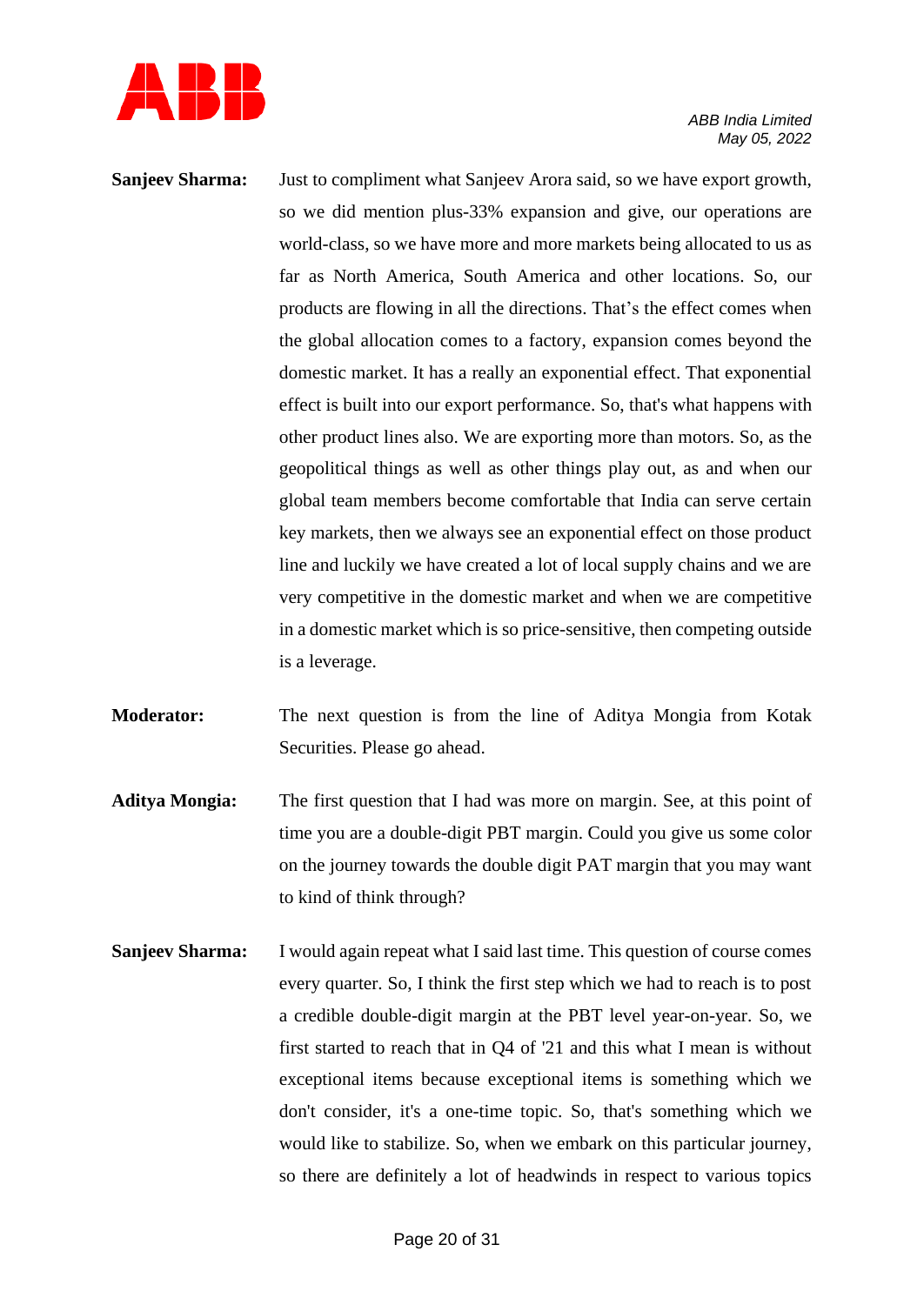

- **Sanjeev Sharma:** Just to compliment what Sanjeev Arora said, so we have export growth, so we did mention plus-33% expansion and give, our operations are world-class, so we have more and more markets being allocated to us as far as North America, South America and other locations. So, our products are flowing in all the directions. That's the effect comes when the global allocation comes to a factory, expansion comes beyond the domestic market. It has a really an exponential effect. That exponential effect is built into our export performance. So, that's what happens with other product lines also. We are exporting more than motors. So, as the geopolitical things as well as other things play out, as and when our global team members become comfortable that India can serve certain key markets, then we always see an exponential effect on those product line and luckily we have created a lot of local supply chains and we are very competitive in the domestic market and when we are competitive in a domestic market which is so price-sensitive, then competing outside is a leverage.
- **Moderator:** The next question is from the line of Aditya Mongia from Kotak Securities. Please go ahead.
- **Aditya Mongia:** The first question that I had was more on margin. See, at this point of time you are a double-digit PBT margin. Could you give us some color on the journey towards the double digit PAT margin that you may want to kind of think through?
- **Sanjeev Sharma:** I would again repeat what I said last time. This question of course comes every quarter. So, I think the first step which we had to reach is to post a credible double-digit margin at the PBT level year-on-year. So, we first started to reach that in Q4 of '21 and this what I mean is without exceptional items because exceptional items is something which we don't consider, it's a one-time topic. So, that's something which we would like to stabilize. So, when we embark on this particular journey, so there are definitely a lot of headwinds in respect to various topics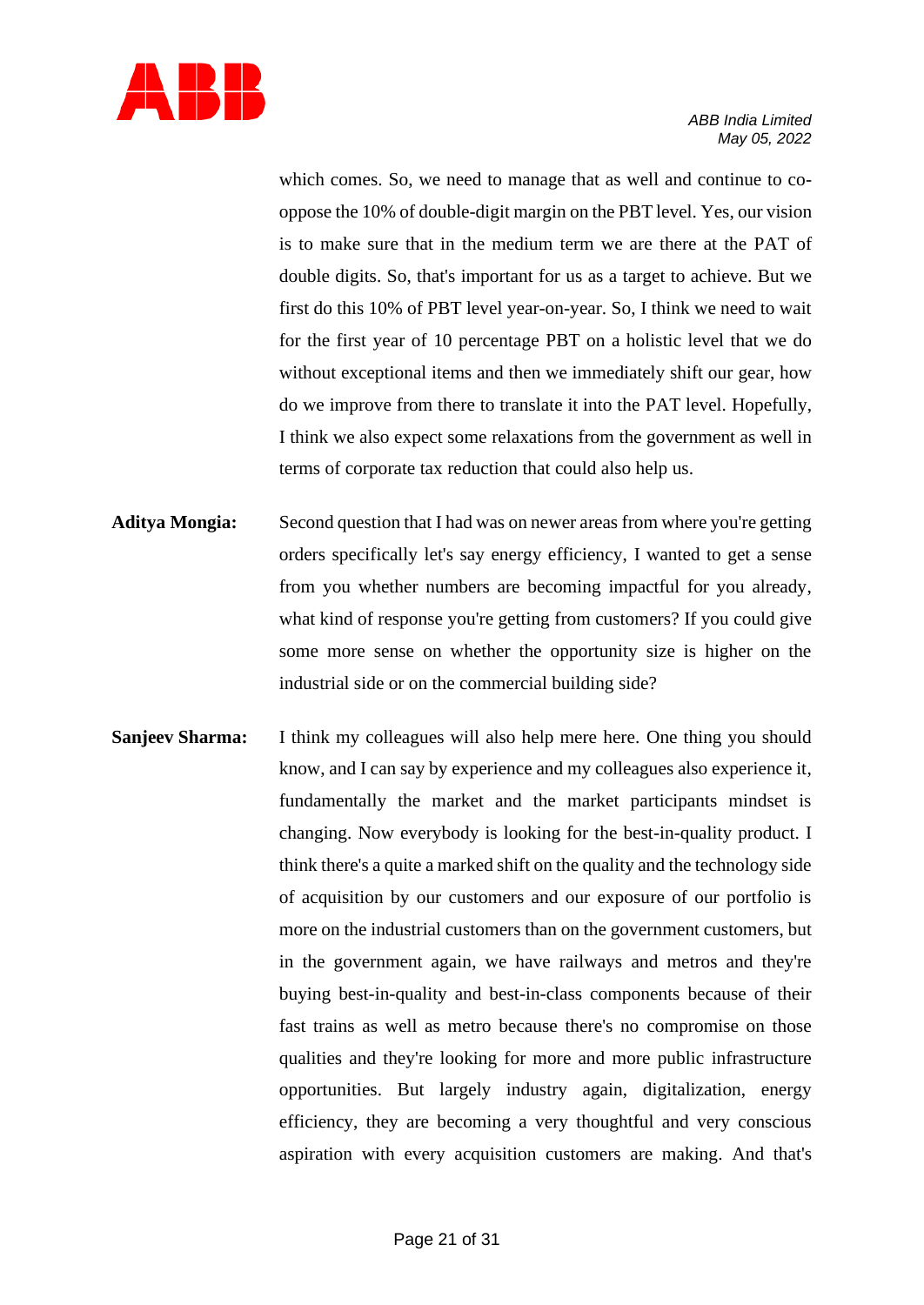

which comes. So, we need to manage that as well and continue to cooppose the 10% of double-digit margin on the PBT level. Yes, our vision is to make sure that in the medium term we are there at the PAT of double digits. So, that's important for us as a target to achieve. But we first do this 10% of PBT level year-on-year. So, I think we need to wait for the first year of 10 percentage PBT on a holistic level that we do without exceptional items and then we immediately shift our gear, how do we improve from there to translate it into the PAT level. Hopefully, I think we also expect some relaxations from the government as well in terms of corporate tax reduction that could also help us.

- **Aditya Mongia:** Second question that I had was on newer areas from where you're getting orders specifically let's say energy efficiency, I wanted to get a sense from you whether numbers are becoming impactful for you already, what kind of response you're getting from customers? If you could give some more sense on whether the opportunity size is higher on the industrial side or on the commercial building side?
- **Sanjeev Sharma:** I think my colleagues will also help mere here. One thing you should know, and I can say by experience and my colleagues also experience it, fundamentally the market and the market participants mindset is changing. Now everybody is looking for the best-in-quality product. I think there's a quite a marked shift on the quality and the technology side of acquisition by our customers and our exposure of our portfolio is more on the industrial customers than on the government customers, but in the government again, we have railways and metros and they're buying best-in-quality and best-in-class components because of their fast trains as well as metro because there's no compromise on those qualities and they're looking for more and more public infrastructure opportunities. But largely industry again, digitalization, energy efficiency, they are becoming a very thoughtful and very conscious aspiration with every acquisition customers are making. And that's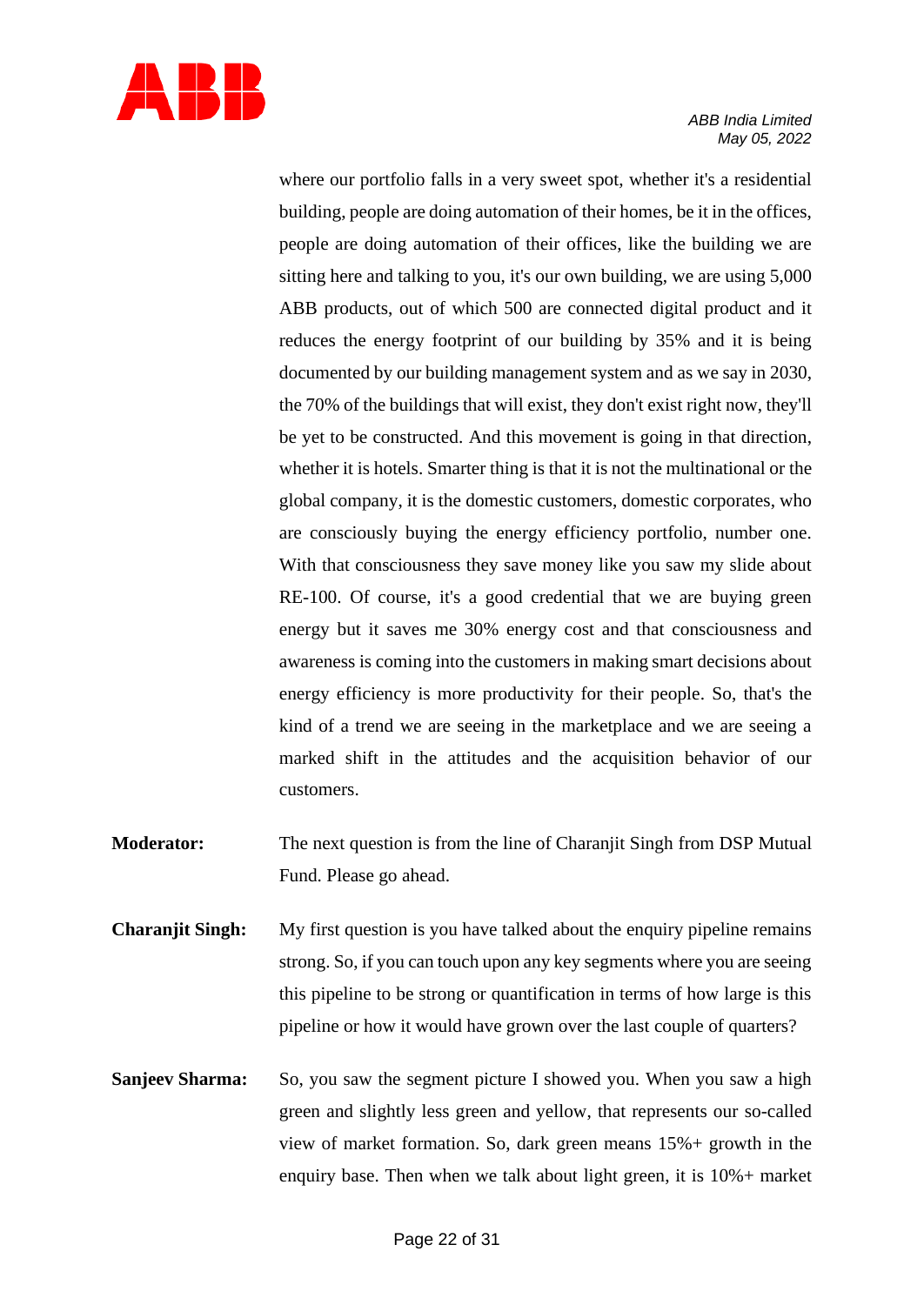

where our portfolio falls in a very sweet spot, whether it's a residential building, people are doing automation of their homes, be it in the offices, people are doing automation of their offices, like the building we are sitting here and talking to you, it's our own building, we are using 5,000 ABB products, out of which 500 are connected digital product and it reduces the energy footprint of our building by 35% and it is being documented by our building management system and as we say in 2030, the 70% of the buildings that will exist, they don't exist right now, they'll be yet to be constructed. And this movement is going in that direction, whether it is hotels. Smarter thing is that it is not the multinational or the global company, it is the domestic customers, domestic corporates, who are consciously buying the energy efficiency portfolio, number one. With that consciousness they save money like you saw my slide about RE-100. Of course, it's a good credential that we are buying green energy but it saves me 30% energy cost and that consciousness and awareness is coming into the customers in making smart decisions about energy efficiency is more productivity for their people. So, that's the kind of a trend we are seeing in the marketplace and we are seeing a marked shift in the attitudes and the acquisition behavior of our customers.

- **Moderator:** The next question is from the line of Charanjit Singh from DSP Mutual Fund. Please go ahead.
- **Charanjit Singh:** My first question is you have talked about the enquiry pipeline remains strong. So, if you can touch upon any key segments where you are seeing this pipeline to be strong or quantification in terms of how large is this pipeline or how it would have grown over the last couple of quarters?
- **Sanjeev Sharma:** So, you saw the segment picture I showed you. When you saw a high green and slightly less green and yellow, that represents our so-called view of market formation. So, dark green means 15%+ growth in the enquiry base. Then when we talk about light green, it is 10%+ market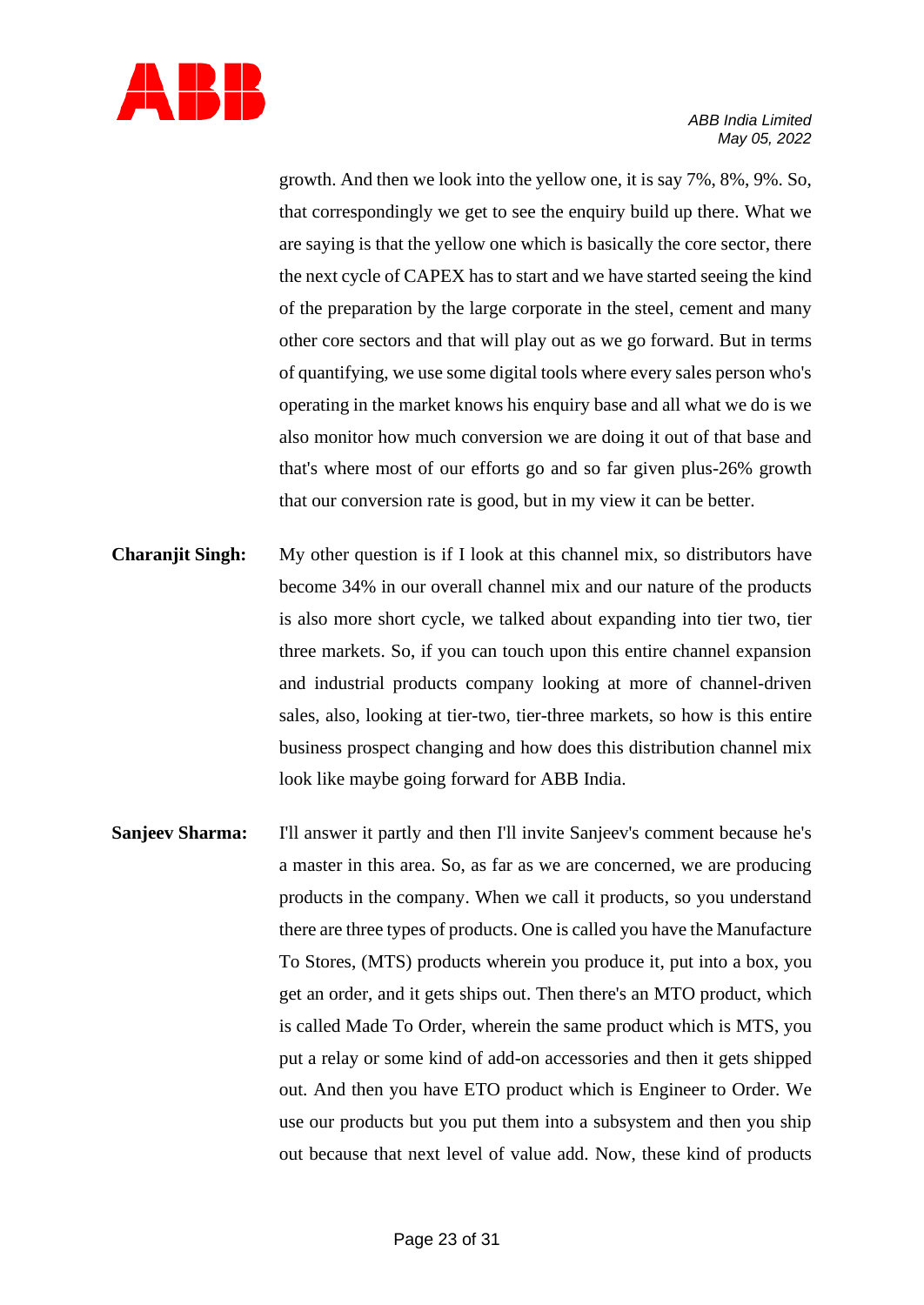

growth. And then we look into the yellow one, it is say 7%, 8%, 9%. So, that correspondingly we get to see the enquiry build up there. What we are saying is that the yellow one which is basically the core sector, there the next cycle of CAPEX has to start and we have started seeing the kind of the preparation by the large corporate in the steel, cement and many other core sectors and that will play out as we go forward. But in terms of quantifying, we use some digital tools where every sales person who's operating in the market knows his enquiry base and all what we do is we also monitor how much conversion we are doing it out of that base and that's where most of our efforts go and so far given plus-26% growth that our conversion rate is good, but in my view it can be better.

- **Charanjit Singh:** My other question is if I look at this channel mix, so distributors have become 34% in our overall channel mix and our nature of the products is also more short cycle, we talked about expanding into tier two, tier three markets. So, if you can touch upon this entire channel expansion and industrial products company looking at more of channel-driven sales, also, looking at tier-two, tier-three markets, so how is this entire business prospect changing and how does this distribution channel mix look like maybe going forward for ABB India.
- **Sanjeev Sharma:** I'll answer it partly and then I'll invite Sanjeev's comment because he's a master in this area. So, as far as we are concerned, we are producing products in the company. When we call it products, so you understand there are three types of products. One is called you have the Manufacture To Stores, (MTS) products wherein you produce it, put into a box, you get an order, and it gets ships out. Then there's an MTO product, which is called Made To Order, wherein the same product which is MTS, you put a relay or some kind of add-on accessories and then it gets shipped out. And then you have ETO product which is Engineer to Order. We use our products but you put them into a subsystem and then you ship out because that next level of value add. Now, these kind of products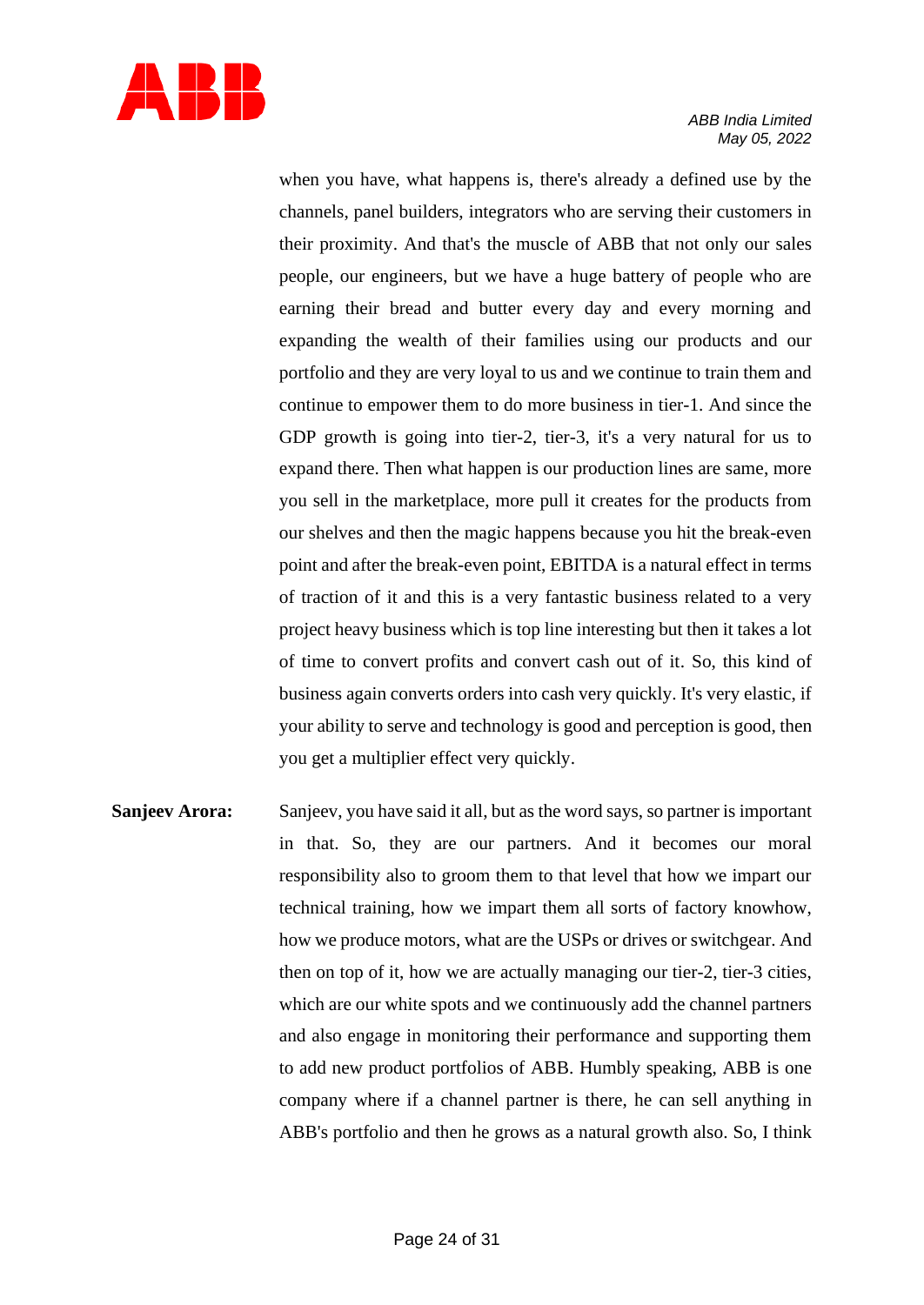

when you have, what happens is, there's already a defined use by the channels, panel builders, integrators who are serving their customers in their proximity. And that's the muscle of ABB that not only our sales people, our engineers, but we have a huge battery of people who are earning their bread and butter every day and every morning and expanding the wealth of their families using our products and our portfolio and they are very loyal to us and we continue to train them and continue to empower them to do more business in tier-1. And since the GDP growth is going into tier-2, tier-3, it's a very natural for us to expand there. Then what happen is our production lines are same, more you sell in the marketplace, more pull it creates for the products from our shelves and then the magic happens because you hit the break-even point and after the break-even point, EBITDA is a natural effect in terms of traction of it and this is a very fantastic business related to a very project heavy business which is top line interesting but then it takes a lot of time to convert profits and convert cash out of it. So, this kind of business again converts orders into cash very quickly. It's very elastic, if your ability to serve and technology is good and perception is good, then you get a multiplier effect very quickly.

**Sanjeev Arora:** Sanjeev, you have said it all, but as the word says, so partner is important in that. So, they are our partners. And it becomes our moral responsibility also to groom them to that level that how we impart our technical training, how we impart them all sorts of factory knowhow, how we produce motors, what are the USPs or drives or switchgear. And then on top of it, how we are actually managing our tier-2, tier-3 cities, which are our white spots and we continuously add the channel partners and also engage in monitoring their performance and supporting them to add new product portfolios of ABB. Humbly speaking, ABB is one company where if a channel partner is there, he can sell anything in ABB's portfolio and then he grows as a natural growth also. So, I think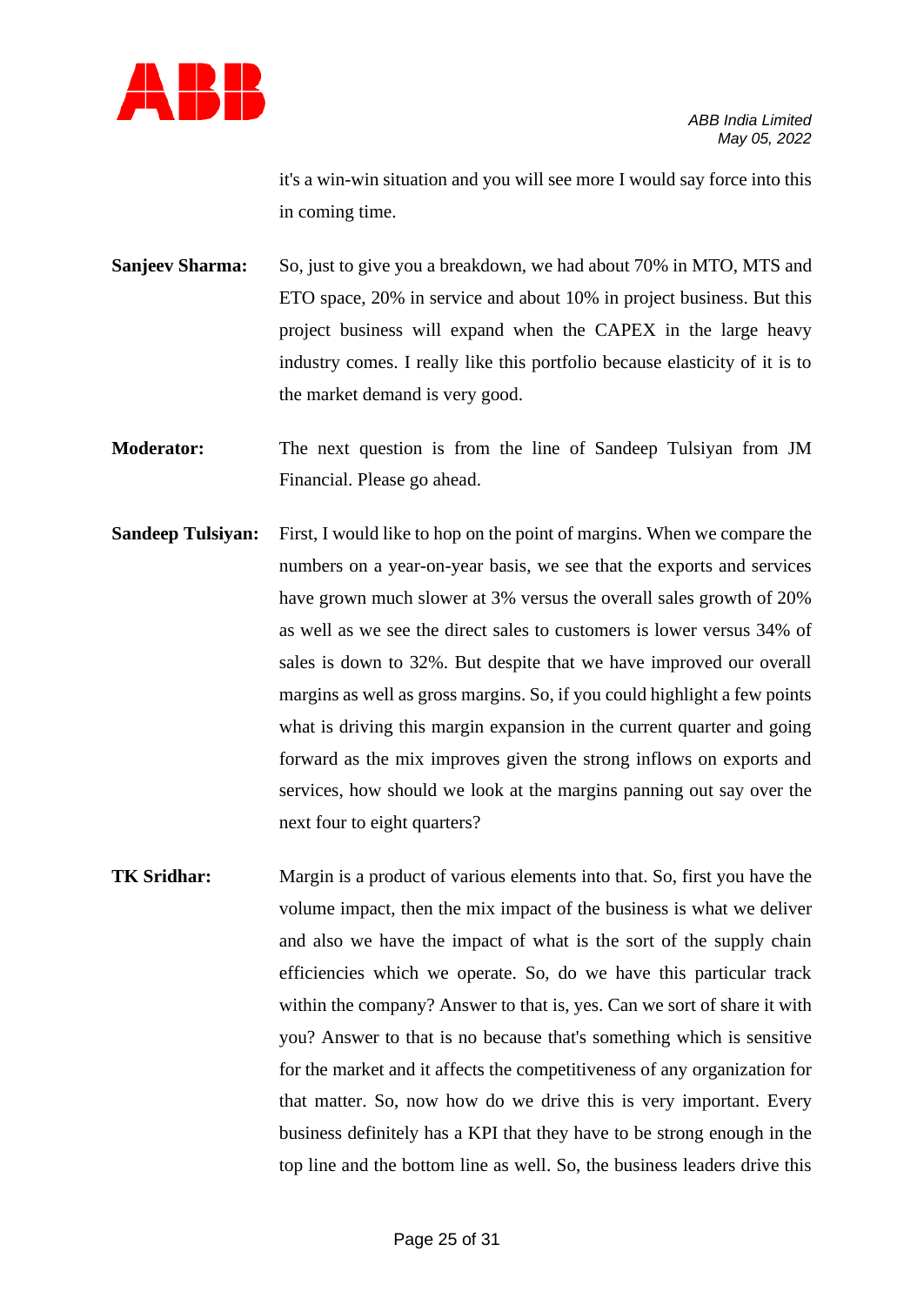

it's a win-win situation and you will see more I would say force into this in coming time.

**Sanjeev Sharma:** So, just to give you a breakdown, we had about 70% in MTO, MTS and ETO space, 20% in service and about 10% in project business. But this project business will expand when the CAPEX in the large heavy industry comes. I really like this portfolio because elasticity of it is to the market demand is very good.

- **Moderator:** The next question is from the line of Sandeep Tulsiyan from JM Financial. Please go ahead.
- **Sandeep Tulsiyan:** First, I would like to hop on the point of margins. When we compare the numbers on a year-on-year basis, we see that the exports and services have grown much slower at 3% versus the overall sales growth of 20% as well as we see the direct sales to customers is lower versus 34% of sales is down to 32%. But despite that we have improved our overall margins as well as gross margins. So, if you could highlight a few points what is driving this margin expansion in the current quarter and going forward as the mix improves given the strong inflows on exports and services, how should we look at the margins panning out say over the next four to eight quarters?
- **TK Sridhar:** Margin is a product of various elements into that. So, first you have the volume impact, then the mix impact of the business is what we deliver and also we have the impact of what is the sort of the supply chain efficiencies which we operate. So, do we have this particular track within the company? Answer to that is, yes. Can we sort of share it with you? Answer to that is no because that's something which is sensitive for the market and it affects the competitiveness of any organization for that matter. So, now how do we drive this is very important. Every business definitely has a KPI that they have to be strong enough in the top line and the bottom line as well. So, the business leaders drive this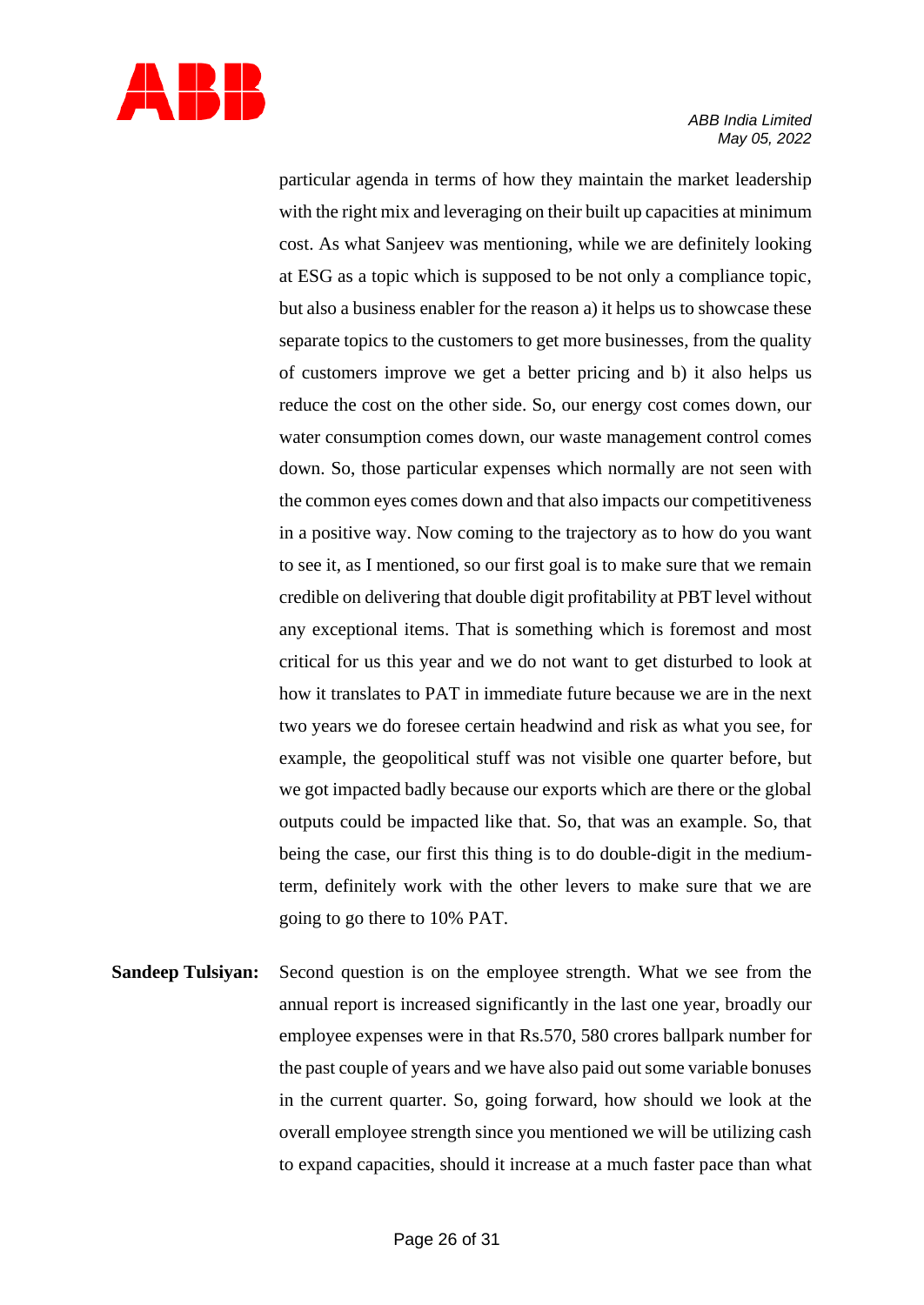

particular agenda in terms of how they maintain the market leadership with the right mix and leveraging on their built up capacities at minimum cost. As what Sanjeev was mentioning, while we are definitely looking at ESG as a topic which is supposed to be not only a compliance topic, but also a business enabler for the reason a) it helps us to showcase these separate topics to the customers to get more businesses, from the quality of customers improve we get a better pricing and b) it also helps us reduce the cost on the other side. So, our energy cost comes down, our water consumption comes down, our waste management control comes down. So, those particular expenses which normally are not seen with the common eyes comes down and that also impacts our competitiveness in a positive way. Now coming to the trajectory as to how do you want to see it, as I mentioned, so our first goal is to make sure that we remain credible on delivering that double digit profitability at PBT level without any exceptional items. That is something which is foremost and most critical for us this year and we do not want to get disturbed to look at how it translates to PAT in immediate future because we are in the next two years we do foresee certain headwind and risk as what you see, for example, the geopolitical stuff was not visible one quarter before, but we got impacted badly because our exports which are there or the global outputs could be impacted like that. So, that was an example. So, that being the case, our first this thing is to do double-digit in the mediumterm, definitely work with the other levers to make sure that we are going to go there to 10% PAT.

**Sandeep Tulsiyan:** Second question is on the employee strength. What we see from the annual report is increased significantly in the last one year, broadly our employee expenses were in that Rs.570, 580 crores ballpark number for the past couple of years and we have also paid out some variable bonuses in the current quarter. So, going forward, how should we look at the overall employee strength since you mentioned we will be utilizing cash to expand capacities, should it increase at a much faster pace than what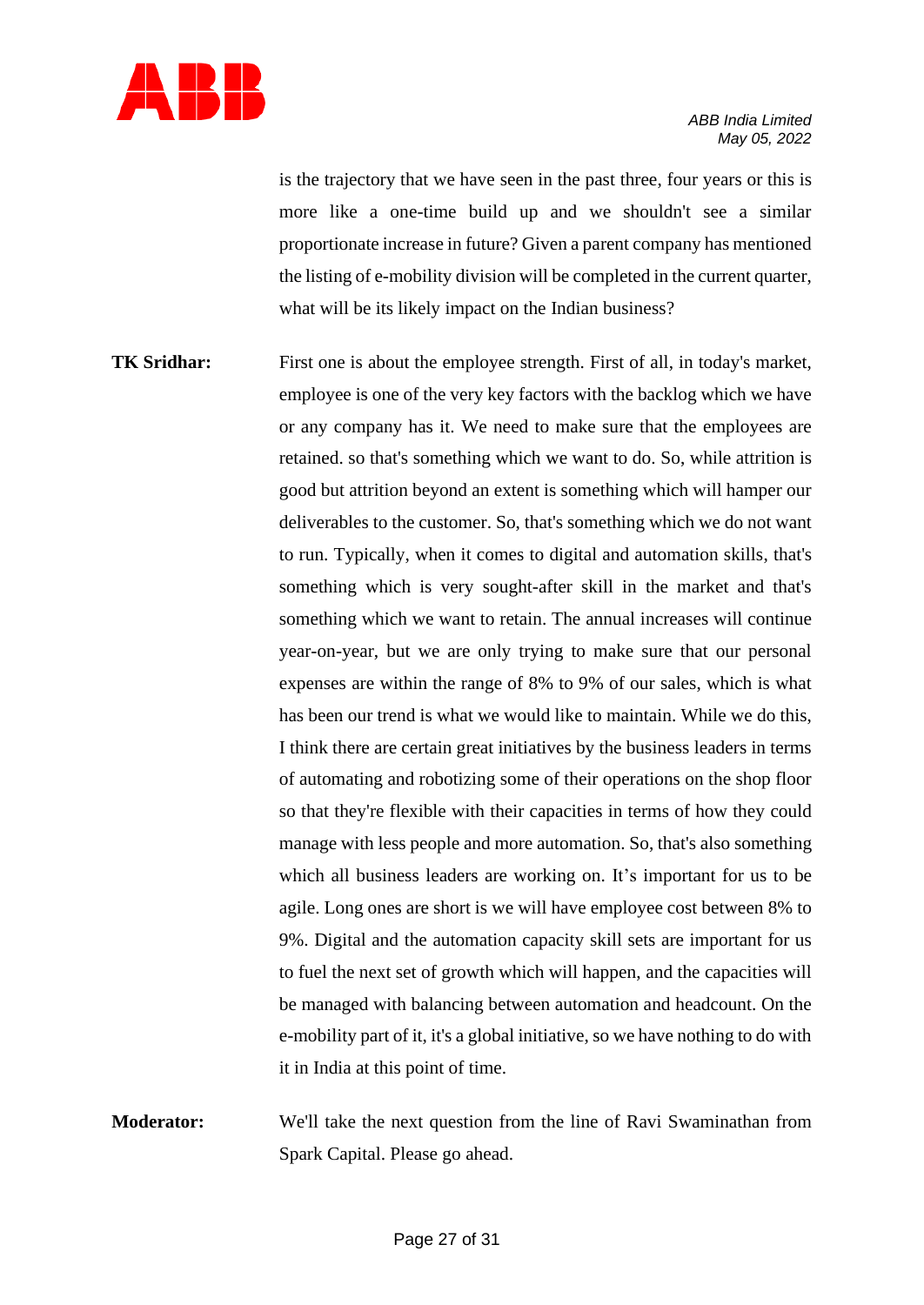

is the trajectory that we have seen in the past three, four years or this is more like a one-time build up and we shouldn't see a similar proportionate increase in future? Given a parent company has mentioned the listing of e-mobility division will be completed in the current quarter, what will be its likely impact on the Indian business?

- **TK Sridhar:** First one is about the employee strength. First of all, in today's market, employee is one of the very key factors with the backlog which we have or any company has it. We need to make sure that the employees are retained. so that's something which we want to do. So, while attrition is good but attrition beyond an extent is something which will hamper our deliverables to the customer. So, that's something which we do not want to run. Typically, when it comes to digital and automation skills, that's something which is very sought-after skill in the market and that's something which we want to retain. The annual increases will continue year-on-year, but we are only trying to make sure that our personal expenses are within the range of 8% to 9% of our sales, which is what has been our trend is what we would like to maintain. While we do this, I think there are certain great initiatives by the business leaders in terms of automating and robotizing some of their operations on the shop floor so that they're flexible with their capacities in terms of how they could manage with less people and more automation. So, that's also something which all business leaders are working on. It's important for us to be agile. Long ones are short is we will have employee cost between 8% to 9%. Digital and the automation capacity skill sets are important for us to fuel the next set of growth which will happen, and the capacities will be managed with balancing between automation and headcount. On the e-mobility part of it, it's a global initiative, so we have nothing to do with it in India at this point of time.
- **Moderator:** We'll take the next question from the line of Ravi Swaminathan from Spark Capital. Please go ahead.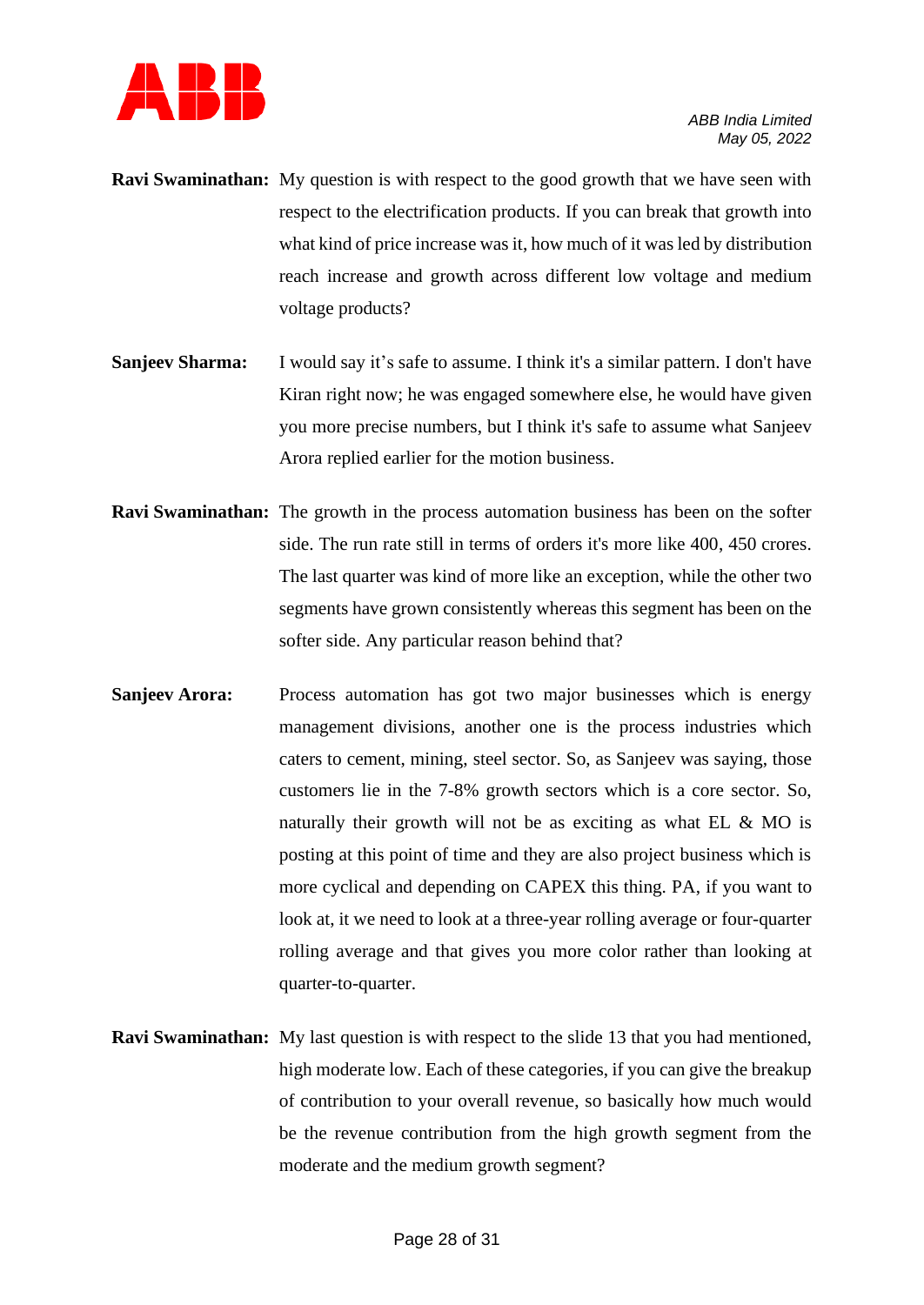

- **Ravi Swaminathan:** My question is with respect to the good growth that we have seen with respect to the electrification products. If you can break that growth into what kind of price increase was it, how much of it was led by distribution reach increase and growth across different low voltage and medium voltage products?
- **Sanjeev Sharma:** I would say it's safe to assume. I think it's a similar pattern. I don't have Kiran right now; he was engaged somewhere else, he would have given you more precise numbers, but I think it's safe to assume what Sanjeev Arora replied earlier for the motion business.
- **Ravi Swaminathan:** The growth in the process automation business has been on the softer side. The run rate still in terms of orders it's more like 400, 450 crores. The last quarter was kind of more like an exception, while the other two segments have grown consistently whereas this segment has been on the softer side. Any particular reason behind that?
- **Sanjeev Arora:** Process automation has got two major businesses which is energy management divisions, another one is the process industries which caters to cement, mining, steel sector. So, as Sanjeev was saying, those customers lie in the 7-8% growth sectors which is a core sector. So, naturally their growth will not be as exciting as what EL & MO is posting at this point of time and they are also project business which is more cyclical and depending on CAPEX this thing. PA, if you want to look at, it we need to look at a three-year rolling average or four-quarter rolling average and that gives you more color rather than looking at quarter-to-quarter.
- **Ravi Swaminathan:** My last question is with respect to the slide 13 that you had mentioned, high moderate low. Each of these categories, if you can give the breakup of contribution to your overall revenue, so basically how much would be the revenue contribution from the high growth segment from the moderate and the medium growth segment?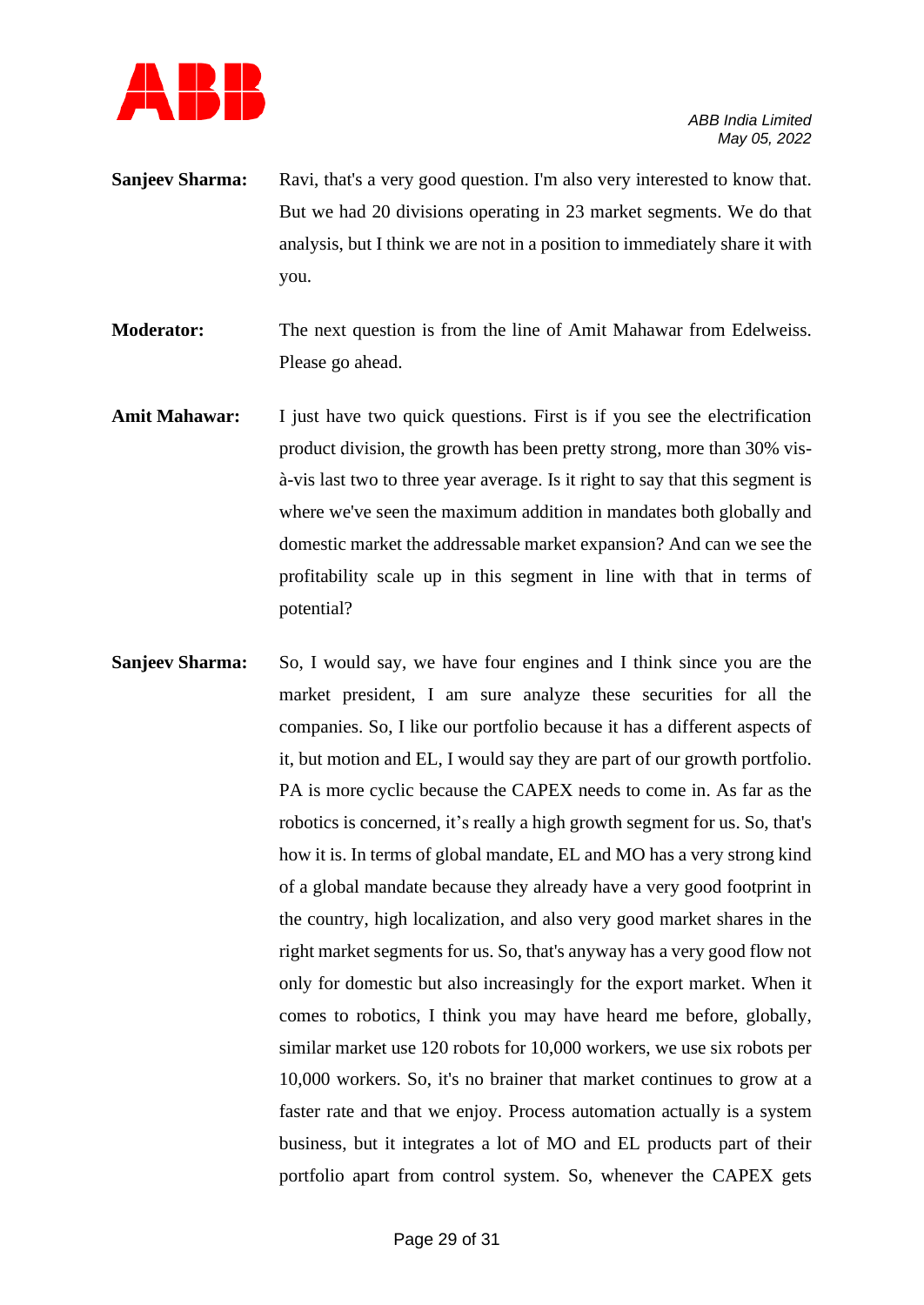

**Sanjeev Sharma:** Ravi, that's a very good question. I'm also very interested to know that. But we had 20 divisions operating in 23 market segments. We do that analysis, but I think we are not in a position to immediately share it with you.

**Moderator:** The next question is from the line of Amit Mahawar from Edelweiss. Please go ahead.

- Amit Mahawar: I just have two quick questions. First is if you see the electrification product division, the growth has been pretty strong, more than 30% visà-vis last two to three year average. Is it right to say that this segment is where we've seen the maximum addition in mandates both globally and domestic market the addressable market expansion? And can we see the profitability scale up in this segment in line with that in terms of potential?
- **Sanjeev Sharma:** So, I would say, we have four engines and I think since you are the market president, I am sure analyze these securities for all the companies. So, I like our portfolio because it has a different aspects of it, but motion and EL, I would say they are part of our growth portfolio. PA is more cyclic because the CAPEX needs to come in. As far as the robotics is concerned, it's really a high growth segment for us. So, that's how it is. In terms of global mandate, EL and MO has a very strong kind of a global mandate because they already have a very good footprint in the country, high localization, and also very good market shares in the right market segments for us. So, that's anyway has a very good flow not only for domestic but also increasingly for the export market. When it comes to robotics, I think you may have heard me before, globally, similar market use 120 robots for 10,000 workers, we use six robots per 10,000 workers. So, it's no brainer that market continues to grow at a faster rate and that we enjoy. Process automation actually is a system business, but it integrates a lot of MO and EL products part of their portfolio apart from control system. So, whenever the CAPEX gets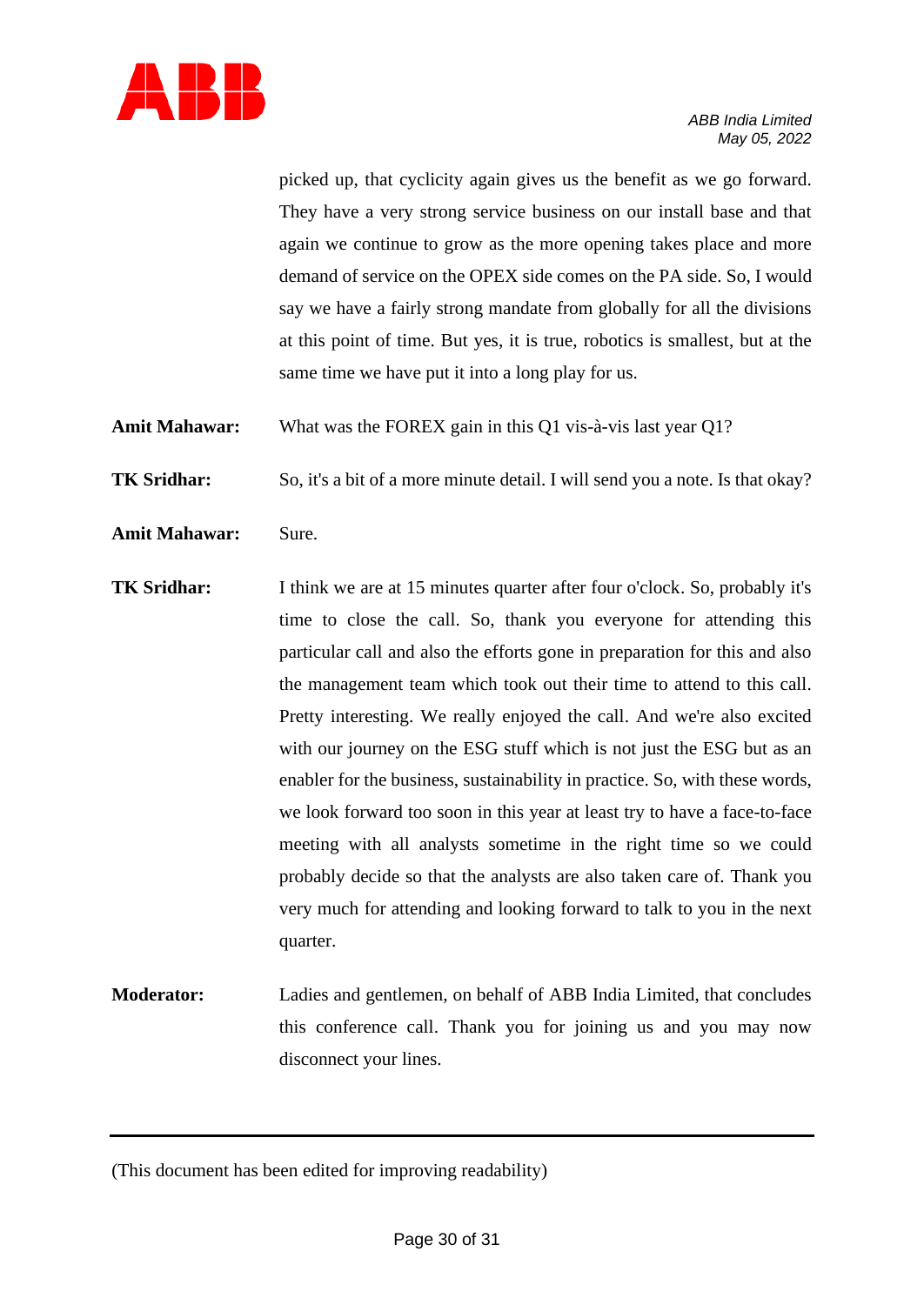

picked up, that cyclicity again gives us the benefit as we go forward. They have a very strong service business on our install base and that again we continue to grow as the more opening takes place and more demand of service on the OPEX side comes on the PA side. So, I would say we have a fairly strong mandate from globally for all the divisions at this point of time. But yes, it is true, robotics is smallest, but at the same time we have put it into a long play for us.

**Amit Mahawar:** What was the FOREX gain in this Q1 vis-à-vis last year Q1?

**TK Sridhar:** So, it's a bit of a more minute detail. I will send you a note. Is that okay?

- **Amit Mahawar:** Sure.
- **TK Sridhar:** I think we are at 15 minutes quarter after four o'clock. So, probably it's time to close the call. So, thank you everyone for attending this particular call and also the efforts gone in preparation for this and also the management team which took out their time to attend to this call. Pretty interesting. We really enjoyed the call. And we're also excited with our journey on the ESG stuff which is not just the ESG but as an enabler for the business, sustainability in practice. So, with these words, we look forward too soon in this year at least try to have a face-to-face meeting with all analysts sometime in the right time so we could probably decide so that the analysts are also taken care of. Thank you very much for attending and looking forward to talk to you in the next quarter.
- **Moderator:** Ladies and gentlemen, on behalf of ABB India Limited, that concludes this conference call. Thank you for joining us and you may now disconnect your lines.

<sup>(</sup>This document has been edited for improving readability)